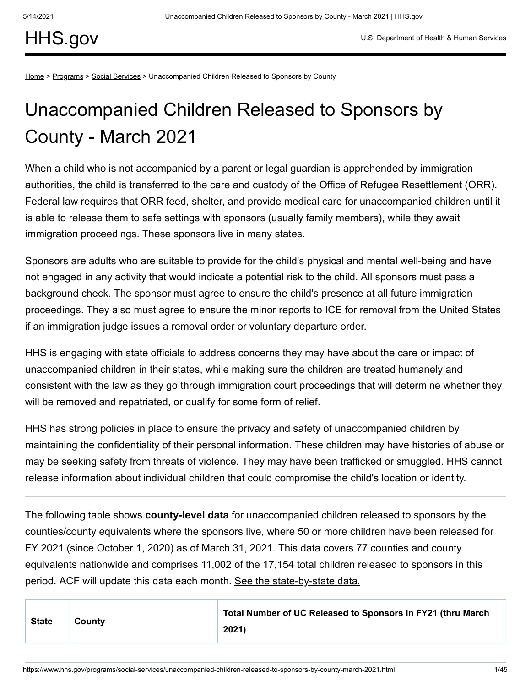[HHS.gov](https://www.hhs.gov/)

[Home](https://www.hhs.gov/) > [Programs](https://www.hhs.gov/programs/index.html) > [Social Services](https://www.hhs.gov/programs/social-services/index.html) > Unaccompanied Children Released to Sponsors by County

## Unaccompanied Children Released to Sponsors by County - March 2021

When a child who is not accompanied by a parent or legal guardian is apprehended by immigration authorities, the child is transferred to the care and custody of the Office of Refugee Resettlement (ORR). Federal law requires that ORR feed, shelter, and provide medical care for unaccompanied children until it is able to release them to safe settings with sponsors (usually family members), while they await immigration proceedings. These sponsors live in many states.

Sponsors are adults who are suitable to provide for the child's physical and mental well-being and have not engaged in any activity that would indicate a potential risk to the child. All sponsors must pass a background check. The sponsor must agree to ensure the child's presence at all future immigration proceedings. They also must agree to ensure the minor reports to ICE for removal from the United States if an immigration judge issues a removal order or voluntary departure order.

HHS is engaging with state officials to address concerns they may have about the care or impact of unaccompanied children in their states, while making sure the children are treated humanely and consistent with the law as they go through immigration court proceedings that will determine whether they will be removed and repatriated, or qualify for some form of relief.

HHS has strong policies in place to ensure the privacy and safety of unaccompanied children by maintaining the confidentiality of their personal information. These children may have histories of abuse or may be seeking safety from threats of violence. They may have been trafficked or smuggled. HHS cannot release information about individual children that could compromise the child's location or identity.

The following table shows **county-level data** for unaccompanied children released to sponsors by the counties/county equivalents where the sponsors live, where 50 or more children have been released for FY 2021 (since October 1, 2020) as of March 31, 2021. This data covers 77 counties and county equivalents nationwide and comprises 11,002 of the 17,154 total children released to sponsors in this period. ACF will update this data each month. [See the state-by-state data.](https://www.acf.hhs.gov/orr/resource/unaccompanied-alien-children-released-to-sponsors-by-state)

| <b>State</b> | County | Total Number of UC Released to Sponsors in FY21 (thru March |
|--------------|--------|-------------------------------------------------------------|
|              |        | 2021)                                                       |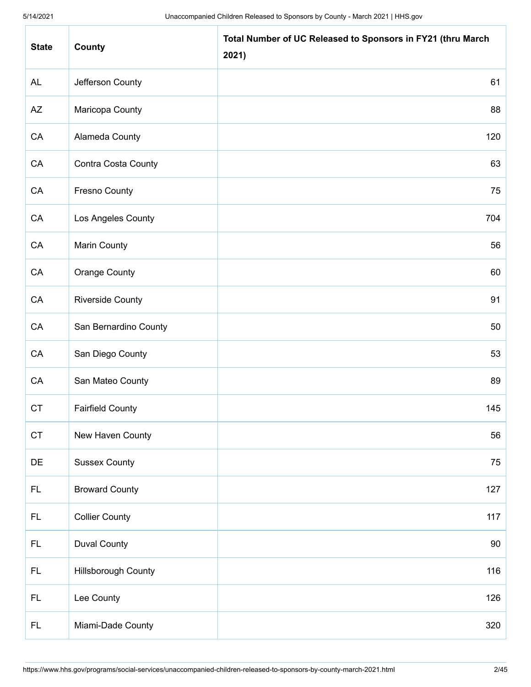| <b>State</b> | County                  | Total Number of UC Released to Sponsors in FY21 (thru March<br>2021) |
|--------------|-------------------------|----------------------------------------------------------------------|
| <b>AL</b>    | Jefferson County        | 61                                                                   |
| AZ           | Maricopa County         | 88                                                                   |
| CA           | Alameda County          | 120                                                                  |
| CA           | Contra Costa County     | 63                                                                   |
| CA           | <b>Fresno County</b>    | 75                                                                   |
| CA           | Los Angeles County      | 704                                                                  |
| CA           | <b>Marin County</b>     | 56                                                                   |
| CA           | <b>Orange County</b>    | 60                                                                   |
| CA           | <b>Riverside County</b> | 91                                                                   |
| CA           | San Bernardino County   | 50                                                                   |
| CA           | San Diego County        | 53                                                                   |
| CA           | San Mateo County        | 89                                                                   |
| <b>CT</b>    | <b>Fairfield County</b> | 145                                                                  |
| <b>CT</b>    | New Haven County        | 56                                                                   |
| DE           | <b>Sussex County</b>    | 75                                                                   |
| FL.          | <b>Broward County</b>   | 127                                                                  |
| FL.          | <b>Collier County</b>   | 117                                                                  |
| FL.          | <b>Duval County</b>     | 90                                                                   |
| FL.          | Hillsborough County     | 116                                                                  |
| FL.          | Lee County              | 126                                                                  |
| FL.          | Miami-Dade County       | 320                                                                  |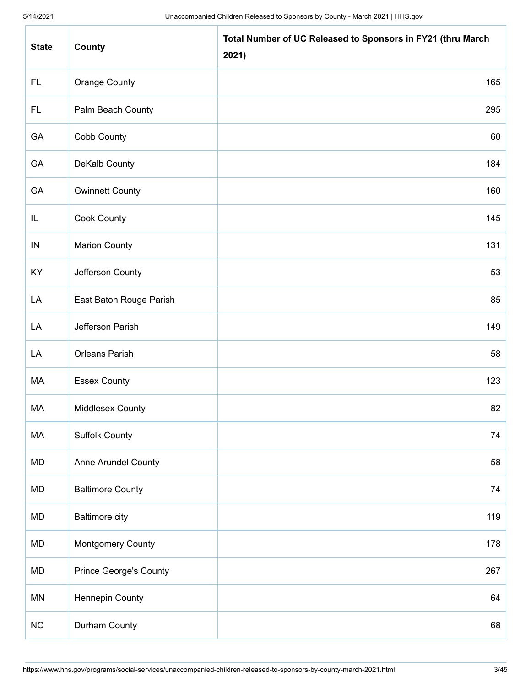| <b>State</b> | County                        | Total Number of UC Released to Sponsors in FY21 (thru March<br>2021) |
|--------------|-------------------------------|----------------------------------------------------------------------|
| FL.          | <b>Orange County</b>          | 165                                                                  |
| FL.          | Palm Beach County             | 295                                                                  |
| GA           | Cobb County                   | 60                                                                   |
| GA           | DeKalb County                 | 184                                                                  |
| GA           | <b>Gwinnett County</b>        | 160                                                                  |
| IL           | <b>Cook County</b>            | 145                                                                  |
| IN           | <b>Marion County</b>          | 131                                                                  |
| KY           | Jefferson County              | 53                                                                   |
| LA           | East Baton Rouge Parish       | 85                                                                   |
| LA           | Jefferson Parish              | 149                                                                  |
| LA           | Orleans Parish                | 58                                                                   |
| MA           | <b>Essex County</b>           | 123                                                                  |
| МA           | Middlesex County              | 82                                                                   |
| MA           | <b>Suffolk County</b>         | 74                                                                   |
| MD           | Anne Arundel County           | 58                                                                   |
| <b>MD</b>    | <b>Baltimore County</b>       | 74                                                                   |
| MD           | <b>Baltimore city</b>         | 119                                                                  |
| <b>MD</b>    | <b>Montgomery County</b>      | 178                                                                  |
| MD           | <b>Prince George's County</b> | 267                                                                  |
| <b>MN</b>    | Hennepin County               | 64                                                                   |
| NC           | Durham County                 | 68                                                                   |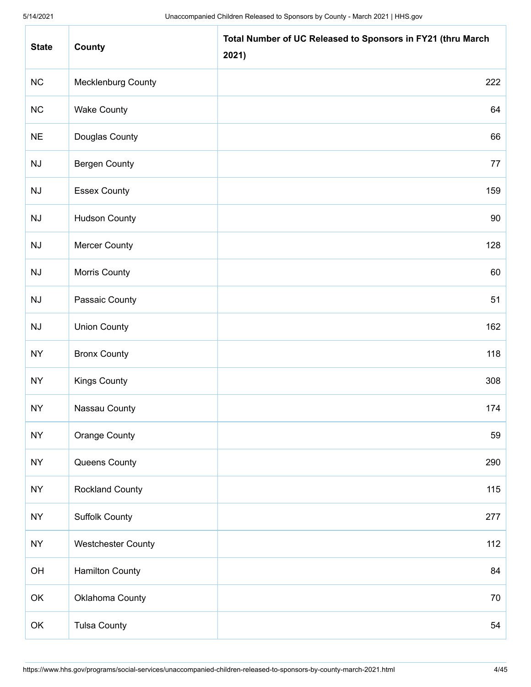| <b>State</b> | County                    | Total Number of UC Released to Sponsors in FY21 (thru March<br>2021) |
|--------------|---------------------------|----------------------------------------------------------------------|
| NC           | <b>Mecklenburg County</b> | 222                                                                  |
| NC           | <b>Wake County</b>        | 64                                                                   |
| <b>NE</b>    | Douglas County            | 66                                                                   |
| NJ           | <b>Bergen County</b>      | 77                                                                   |
| NJ           | <b>Essex County</b>       | 159                                                                  |
| NJ           | <b>Hudson County</b>      | 90                                                                   |
| NJ           | <b>Mercer County</b>      | 128                                                                  |
| NJ           | Morris County             | 60                                                                   |
| NJ           | Passaic County            | 51                                                                   |
| NJ           | <b>Union County</b>       | 162                                                                  |
| <b>NY</b>    | <b>Bronx County</b>       | 118                                                                  |
| <b>NY</b>    | <b>Kings County</b>       | 308                                                                  |
| <b>NY</b>    | Nassau County             | 174                                                                  |
| <b>NY</b>    | <b>Orange County</b>      | 59                                                                   |
| <b>NY</b>    | Queens County             | 290                                                                  |
| <b>NY</b>    | <b>Rockland County</b>    | 115                                                                  |
| <b>NY</b>    | <b>Suffolk County</b>     | 277                                                                  |
| <b>NY</b>    | <b>Westchester County</b> | 112                                                                  |
| OH           | <b>Hamilton County</b>    | 84                                                                   |
| OK           | Oklahoma County           | 70                                                                   |
| OK           | <b>Tulsa County</b>       | 54                                                                   |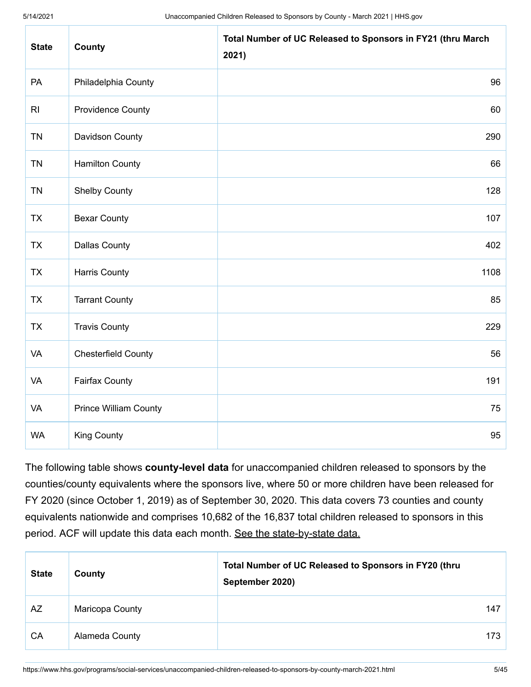| <b>State</b>   | County                       | Total Number of UC Released to Sponsors in FY21 (thru March<br>2021) |
|----------------|------------------------------|----------------------------------------------------------------------|
| PA             | Philadelphia County          | 96                                                                   |
| R <sub>l</sub> | <b>Providence County</b>     | 60                                                                   |
| <b>TN</b>      | Davidson County              | 290                                                                  |
| <b>TN</b>      | <b>Hamilton County</b>       | 66                                                                   |
| <b>TN</b>      | <b>Shelby County</b>         | 128                                                                  |
| <b>TX</b>      | <b>Bexar County</b>          | 107                                                                  |
| <b>TX</b>      | <b>Dallas County</b>         | 402                                                                  |
| <b>TX</b>      | <b>Harris County</b>         | 1108                                                                 |
| <b>TX</b>      | <b>Tarrant County</b>        | 85                                                                   |
| <b>TX</b>      | <b>Travis County</b>         | 229                                                                  |
| VA             | <b>Chesterfield County</b>   | 56                                                                   |
| <b>VA</b>      | <b>Fairfax County</b>        | 191                                                                  |
| <b>VA</b>      | <b>Prince William County</b> | 75                                                                   |
| <b>WA</b>      | <b>King County</b>           | 95                                                                   |

The following table shows **county-level data** for unaccompanied children released to sponsors by the counties/county equivalents where the sponsors live, where 50 or more children have been released for FY 2020 (since October 1, 2019) as of September 30, 2020. This data covers 73 counties and county equivalents nationwide and comprises 10,682 of the 16,837 total children released to sponsors in this period. ACF will update this data each month. [See the state-by-state data.](https://www.acf.hhs.gov/orr/resource/unaccompanied-alien-children-released-to-sponsors-by-state)

| <b>State</b> | County          | Total Number of UC Released to Sponsors in FY20 (thru<br>September 2020) |     |
|--------------|-----------------|--------------------------------------------------------------------------|-----|
| AZ           | Maricopa County |                                                                          | 147 |
| CA           | Alameda County  |                                                                          | 173 |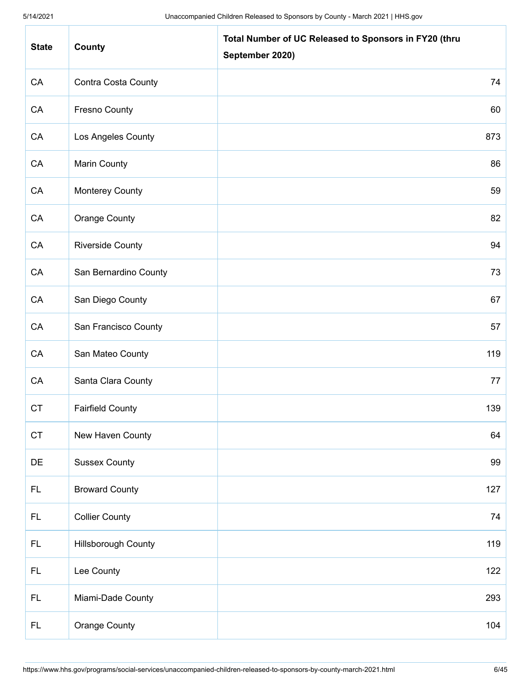| <b>State</b> | County                     | Total Number of UC Released to Sponsors in FY20 (thru<br>September 2020) |
|--------------|----------------------------|--------------------------------------------------------------------------|
| CA           | Contra Costa County        | 74                                                                       |
| CA           | <b>Fresno County</b>       | 60                                                                       |
| CA           | Los Angeles County         | 873                                                                      |
| CA           | Marin County               | 86                                                                       |
| CA           | <b>Monterey County</b>     | 59                                                                       |
| ${\sf CA}$   | <b>Orange County</b>       | 82                                                                       |
| CA           | <b>Riverside County</b>    | 94                                                                       |
| CA           | San Bernardino County      | 73                                                                       |
| ${\sf CA}$   | San Diego County           | 67                                                                       |
| CA           | San Francisco County       | 57                                                                       |
| CA           | San Mateo County           | 119                                                                      |
| CA           | Santa Clara County         | 77                                                                       |
| <b>CT</b>    | <b>Fairfield County</b>    | 139                                                                      |
| CT           | New Haven County           | 64                                                                       |
| DE           | <b>Sussex County</b>       | 99                                                                       |
| <b>FL</b>    | <b>Broward County</b>      | 127                                                                      |
| <b>FL</b>    | <b>Collier County</b>      | 74                                                                       |
| <b>FL</b>    | <b>Hillsborough County</b> | 119                                                                      |
| FL.          | Lee County                 | 122                                                                      |
| <b>FL</b>    | Miami-Dade County          | 293                                                                      |
| <b>FL</b>    | <b>Orange County</b>       | 104                                                                      |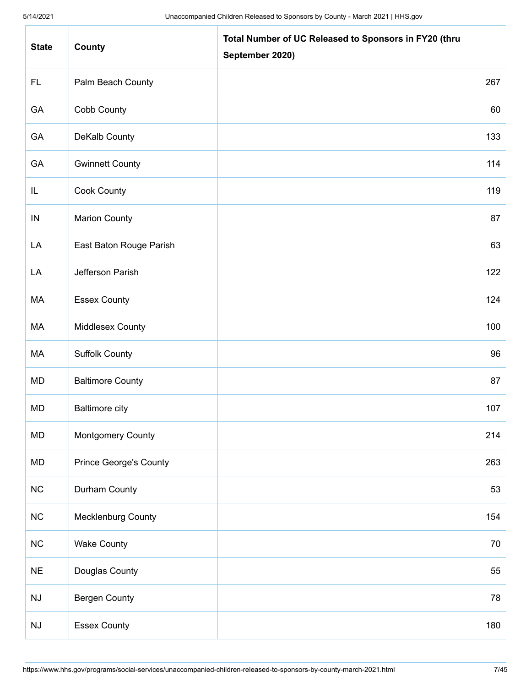| <b>State</b>           | County                        | Total Number of UC Released to Sponsors in FY20 (thru<br>September 2020) |
|------------------------|-------------------------------|--------------------------------------------------------------------------|
| <b>FL</b>              | Palm Beach County             | 267                                                                      |
| GA                     | Cobb County                   | 60                                                                       |
| GA                     | <b>DeKalb County</b>          | 133                                                                      |
| GA                     | <b>Gwinnett County</b>        | 114                                                                      |
| IL                     | <b>Cook County</b>            | 119                                                                      |
| $\sf IN$               | <b>Marion County</b>          | 87                                                                       |
| LA                     | East Baton Rouge Parish       | 63                                                                       |
| LA                     | Jefferson Parish              | 122                                                                      |
| МA                     | <b>Essex County</b>           | 124                                                                      |
| МA                     | <b>Middlesex County</b>       | 100                                                                      |
| МA                     | <b>Suffolk County</b>         | 96                                                                       |
| MD                     | <b>Baltimore County</b>       | 87                                                                       |
| <b>MD</b>              | <b>Baltimore city</b>         | 107                                                                      |
| MD                     | Montgomery County             | 214                                                                      |
| MD                     | <b>Prince George's County</b> | 263                                                                      |
| NC                     | Durham County                 | 53                                                                       |
| NC                     | <b>Mecklenburg County</b>     | 154                                                                      |
| NC                     | <b>Wake County</b>            | 70                                                                       |
| $NE$                   | Douglas County                | 55                                                                       |
| NJ                     | <b>Bergen County</b>          | 78                                                                       |
| $\mathsf{N}\mathsf{J}$ | <b>Essex County</b>           | 180                                                                      |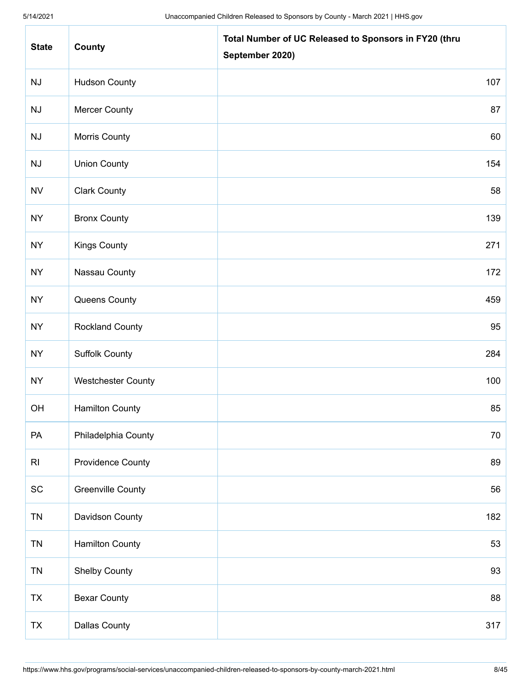| <b>State</b>                 | County                    | Total Number of UC Released to Sponsors in FY20 (thru<br>September 2020) |
|------------------------------|---------------------------|--------------------------------------------------------------------------|
| NJ                           | <b>Hudson County</b>      | 107                                                                      |
| NJ                           | <b>Mercer County</b>      | 87                                                                       |
| NJ                           | Morris County             | 60                                                                       |
| NJ                           | <b>Union County</b>       | 154                                                                      |
| <b>NV</b>                    | <b>Clark County</b>       | 58                                                                       |
| <b>NY</b>                    | <b>Bronx County</b>       | 139                                                                      |
| <b>NY</b>                    | <b>Kings County</b>       | 271                                                                      |
| <b>NY</b>                    | Nassau County             | 172                                                                      |
| <b>NY</b>                    | Queens County             | 459                                                                      |
| <b>NY</b>                    | <b>Rockland County</b>    | 95                                                                       |
| <b>NY</b>                    | <b>Suffolk County</b>     | 284                                                                      |
| <b>NY</b>                    | <b>Westchester County</b> | 100                                                                      |
| OH                           | <b>Hamilton County</b>    | 85                                                                       |
| PA                           | Philadelphia County       | 70                                                                       |
| R <sub>l</sub>               | <b>Providence County</b>  | 89                                                                       |
| $\operatorname{\textsf{SC}}$ | <b>Greenville County</b>  | 56                                                                       |
| <b>TN</b>                    | Davidson County           | 182                                                                      |
| <b>TN</b>                    | <b>Hamilton County</b>    | 53                                                                       |
| <b>TN</b>                    | <b>Shelby County</b>      | 93                                                                       |
| TX                           | <b>Bexar County</b>       | 88                                                                       |
| TX                           | <b>Dallas County</b>      | 317                                                                      |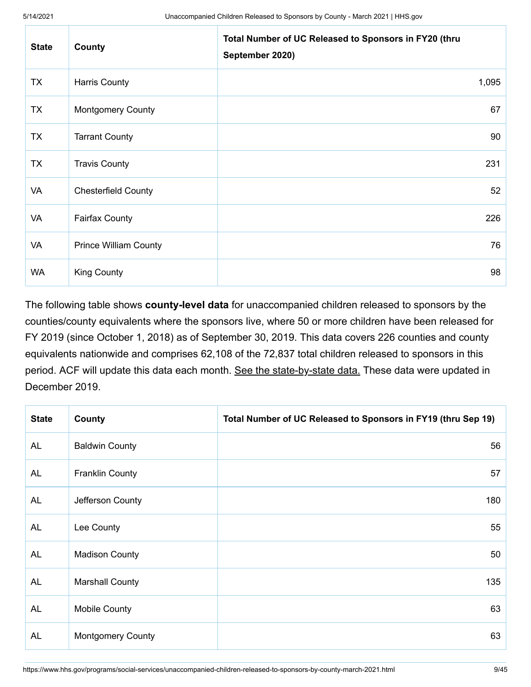| <b>State</b> | County                       | Total Number of UC Released to Sponsors in FY20 (thru<br>September 2020) |
|--------------|------------------------------|--------------------------------------------------------------------------|
| <b>TX</b>    | Harris County                | 1,095                                                                    |
| <b>TX</b>    | <b>Montgomery County</b>     | 67                                                                       |
| <b>TX</b>    | <b>Tarrant County</b>        | 90                                                                       |
| <b>TX</b>    | <b>Travis County</b>         | 231                                                                      |
| VA           | <b>Chesterfield County</b>   | 52                                                                       |
| VA           | <b>Fairfax County</b>        | 226                                                                      |
| VA           | <b>Prince William County</b> | 76                                                                       |
| <b>WA</b>    | <b>King County</b>           | 98                                                                       |

The following table shows **county-level data** for unaccompanied children released to sponsors by the counties/county equivalents where the sponsors live, where 50 or more children have been released for FY 2019 (since October 1, 2018) as of September 30, 2019. This data covers 226 counties and county equivalents nationwide and comprises 62,108 of the 72,837 total children released to sponsors in this period. ACF will update this data each month. [See the state-by-state data.](https://www.acf.hhs.gov/orr/resource/unaccompanied-alien-children-released-to-sponsors-by-state) These data were updated in December 2019.

| <b>State</b> | County                   | Total Number of UC Released to Sponsors in FY19 (thru Sep 19) |
|--------------|--------------------------|---------------------------------------------------------------|
| AL           | <b>Baldwin County</b>    | 56                                                            |
| <b>AL</b>    | <b>Franklin County</b>   | 57                                                            |
| <b>AL</b>    | Jefferson County         | 180                                                           |
| <b>AL</b>    | Lee County               | 55                                                            |
| <b>AL</b>    | <b>Madison County</b>    | 50                                                            |
| <b>AL</b>    | <b>Marshall County</b>   | 135                                                           |
| <b>AL</b>    | <b>Mobile County</b>     | 63                                                            |
| <b>AL</b>    | <b>Montgomery County</b> | 63                                                            |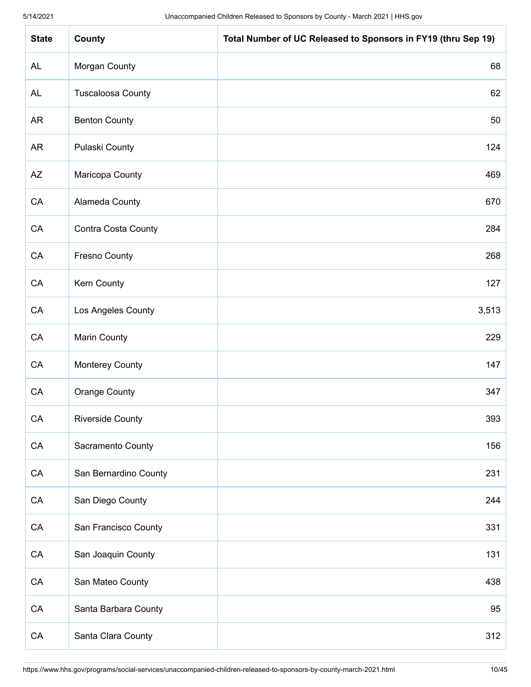| <b>State</b> | County                   | Total Number of UC Released to Sponsors in FY19 (thru Sep 19) |
|--------------|--------------------------|---------------------------------------------------------------|
| <b>AL</b>    | Morgan County            | 68                                                            |
| <b>AL</b>    | <b>Tuscaloosa County</b> | 62                                                            |
| <b>AR</b>    | <b>Benton County</b>     | 50                                                            |
| AR           | Pulaski County           | 124                                                           |
| AZ           | Maricopa County          | 469                                                           |
| ${\sf CA}$   | Alameda County           | 670                                                           |
| ${\sf CA}$   | Contra Costa County      | 284                                                           |
| CA           | <b>Fresno County</b>     | 268                                                           |
| ${\sf CA}$   | Kern County              | 127                                                           |
| ${\sf CA}$   | Los Angeles County       | 3,513                                                         |
| CA           | <b>Marin County</b>      | 229                                                           |
| ${\sf CA}$   | <b>Monterey County</b>   | 147                                                           |
| CA           | <b>Orange County</b>     | 347                                                           |
| ${\sf CA}$   | <b>Riverside County</b>  | 393                                                           |
| CA           | Sacramento County        | 156                                                           |
| CA           | San Bernardino County    | 231                                                           |
| CA           | San Diego County         | 244                                                           |
| ${\sf CA}$   | San Francisco County     | 331                                                           |
| ${\sf CA}$   | San Joaquin County       | 131                                                           |
| CA           | San Mateo County         | 438                                                           |
| ${\sf CA}$   | Santa Barbara County     | 95                                                            |
| CA           | Santa Clara County       | 312                                                           |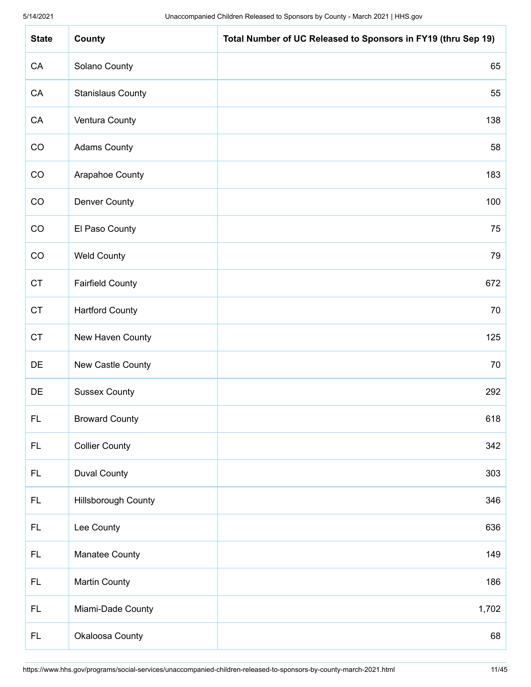| <b>State</b> | County                     | Total Number of UC Released to Sponsors in FY19 (thru Sep 19) |
|--------------|----------------------------|---------------------------------------------------------------|
| CA           | Solano County              | 65                                                            |
| CA           | <b>Stanislaus County</b>   | 55                                                            |
| CA           | Ventura County             | 138                                                           |
| CO           | <b>Adams County</b>        | 58                                                            |
| CO           | Arapahoe County            | 183                                                           |
| CO           | <b>Denver County</b>       | 100                                                           |
| CO           | El Paso County             | 75                                                            |
| CO           | <b>Weld County</b>         | 79                                                            |
| <b>CT</b>    | <b>Fairfield County</b>    | 672                                                           |
| CT           | <b>Hartford County</b>     | 70                                                            |
| <b>CT</b>    | New Haven County           | 125                                                           |
| DE           | New Castle County          | 70                                                            |
| DE           | <b>Sussex County</b>       | 292                                                           |
| FL           | <b>Broward County</b>      | 618                                                           |
| FL.          | <b>Collier County</b>      | 342                                                           |
| FL.          | <b>Duval County</b>        | 303                                                           |
| FL.          | <b>Hillsborough County</b> | 346                                                           |
| FL.          | Lee County                 | 636                                                           |
| FL.          | Manatee County             | 149                                                           |
| FL.          | <b>Martin County</b>       | 186                                                           |
| FL.          | Miami-Dade County          | 1,702                                                         |
| FL.          | Okaloosa County            | 68                                                            |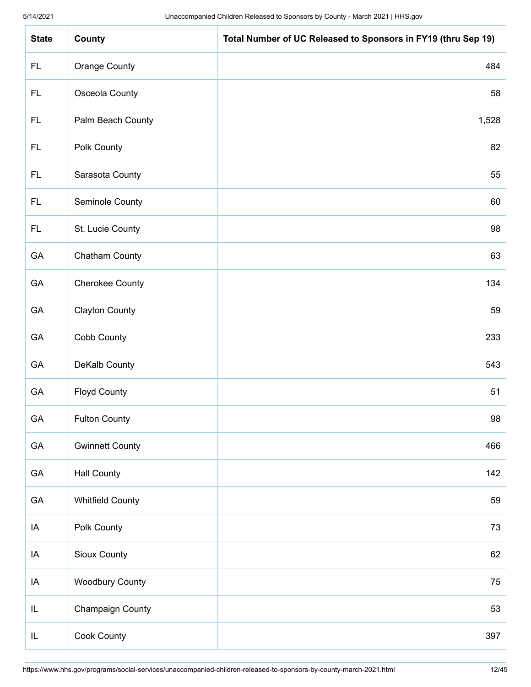| <b>State</b> | County                  | Total Number of UC Released to Sponsors in FY19 (thru Sep 19) |
|--------------|-------------------------|---------------------------------------------------------------|
| <b>FL</b>    | Orange County           | 484                                                           |
| FL.          | Osceola County          | 58                                                            |
| FL.          | Palm Beach County       | 1,528                                                         |
| <b>FL</b>    | Polk County             | 82                                                            |
| FL.          | Sarasota County         | 55                                                            |
| FL.          | Seminole County         | 60                                                            |
| <b>FL</b>    | St. Lucie County        | 98                                                            |
| GA           | <b>Chatham County</b>   | 63                                                            |
| GA           | <b>Cherokee County</b>  | 134                                                           |
| GA           | <b>Clayton County</b>   | 59                                                            |
| GA           | Cobb County             | 233                                                           |
| GA           | DeKalb County           | 543                                                           |
| GA           | <b>Floyd County</b>     | 51                                                            |
| GA           | <b>Fulton County</b>    | 98                                                            |
| GA           | <b>Gwinnett County</b>  | 466                                                           |
| GA           | <b>Hall County</b>      | 142                                                           |
| GA           | <b>Whitfield County</b> | 59                                                            |
| IA           | Polk County             | 73                                                            |
| IA           | Sioux County            | 62                                                            |
| IA           | <b>Woodbury County</b>  | 75                                                            |
| IL           | Champaign County        | 53                                                            |
| IL           | Cook County             | 397                                                           |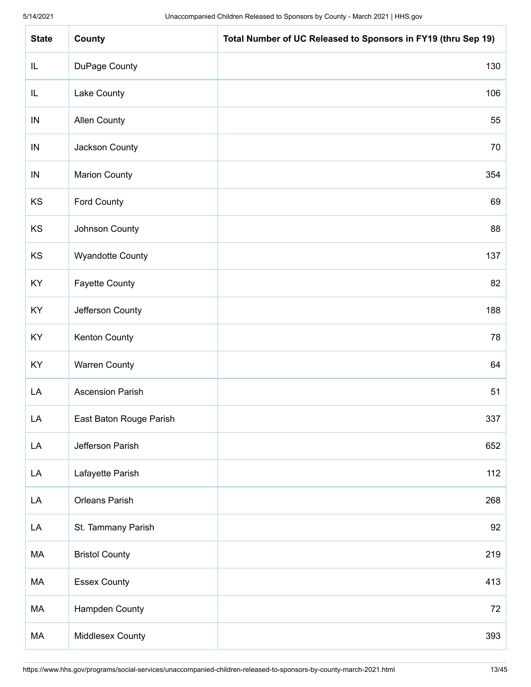| <b>State</b> | County                  | Total Number of UC Released to Sponsors in FY19 (thru Sep 19) |
|--------------|-------------------------|---------------------------------------------------------------|
| IL           | DuPage County           | 130                                                           |
| IL           | Lake County             | 106                                                           |
| IN           | <b>Allen County</b>     | 55                                                            |
| ${\sf IN}$   | Jackson County          | 70                                                            |
| ${\sf IN}$   | <b>Marion County</b>    | 354                                                           |
| KS           | Ford County             | 69                                                            |
| KS           | Johnson County          | 88                                                            |
| KS           | <b>Wyandotte County</b> | 137                                                           |
| KY           | <b>Fayette County</b>   | 82                                                            |
| KY           | Jefferson County        | 188                                                           |
| KY           | Kenton County           | 78                                                            |
| KY           | <b>Warren County</b>    | 64                                                            |
| LA           | <b>Ascension Parish</b> | 51                                                            |
| LA           | East Baton Rouge Parish | 337                                                           |
| LA           | Jefferson Parish        | 652                                                           |
| LA           | Lafayette Parish        | 112                                                           |
| LA           | <b>Orleans Parish</b>   | 268                                                           |
| LA           | St. Tammany Parish      | 92                                                            |
| MA           | <b>Bristol County</b>   | 219                                                           |
| MA           | <b>Essex County</b>     | 413                                                           |
| MA           | Hampden County          | 72                                                            |
| MA           | Middlesex County        | 393                                                           |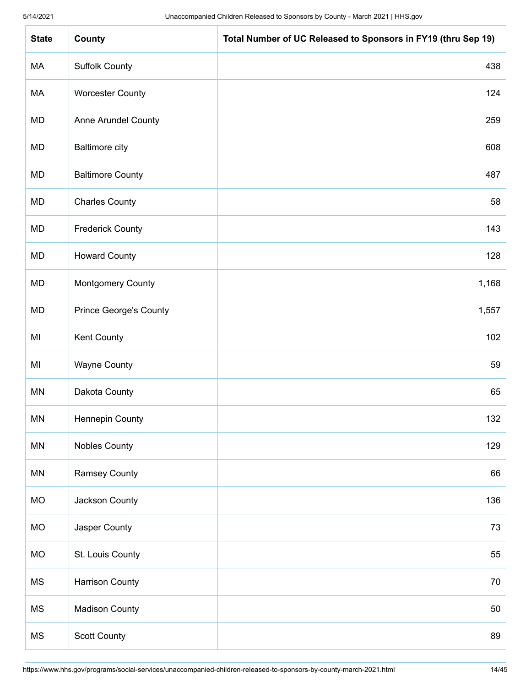| <b>State</b>  | County                        | Total Number of UC Released to Sponsors in FY19 (thru Sep 19) |
|---------------|-------------------------------|---------------------------------------------------------------|
| МA            | <b>Suffolk County</b>         | 438                                                           |
| МA            | <b>Worcester County</b>       | 124                                                           |
| MD            | <b>Anne Arundel County</b>    | 259                                                           |
| MD            | <b>Baltimore city</b>         | 608                                                           |
| MD            | <b>Baltimore County</b>       | 487                                                           |
| MD            | <b>Charles County</b>         | 58                                                            |
| MD            | <b>Frederick County</b>       | 143                                                           |
| <b>MD</b>     | <b>Howard County</b>          | 128                                                           |
| <b>MD</b>     | <b>Montgomery County</b>      | 1,168                                                         |
| MD            | <b>Prince George's County</b> | 1,557                                                         |
| MI            | Kent County                   | 102                                                           |
| MI            | <b>Wayne County</b>           | 59                                                            |
| MN            | Dakota County                 | 65                                                            |
| $\mathsf{MN}$ | Hennepin County               | 132                                                           |
| MN            | <b>Nobles County</b>          | 129                                                           |
| MN            | <b>Ramsey County</b>          | 66                                                            |
| <b>MO</b>     | Jackson County                | 136                                                           |
| <b>MO</b>     | Jasper County                 | 73                                                            |
| <b>MO</b>     | St. Louis County              | 55                                                            |
| MS            | <b>Harrison County</b>        | 70                                                            |
| <b>MS</b>     | <b>Madison County</b>         | 50                                                            |
| MS            | Scott County                  | 89                                                            |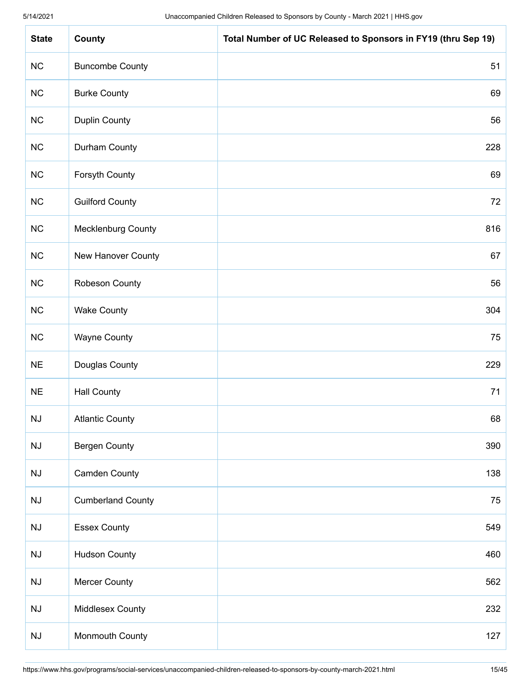| <b>State</b>           | County                   | Total Number of UC Released to Sponsors in FY19 (thru Sep 19) |
|------------------------|--------------------------|---------------------------------------------------------------|
| NC                     | <b>Buncombe County</b>   | 51                                                            |
| NC                     | <b>Burke County</b>      | 69                                                            |
| NC                     | <b>Duplin County</b>     | 56                                                            |
| NC                     | Durham County            | 228                                                           |
| NC                     | Forsyth County           | 69                                                            |
| NC                     | <b>Guilford County</b>   | 72                                                            |
| NC                     | Mecklenburg County       | 816                                                           |
| NC                     | New Hanover County       | 67                                                            |
| NC                     | Robeson County           | 56                                                            |
| NC                     | <b>Wake County</b>       | 304                                                           |
| NC                     | <b>Wayne County</b>      | 75                                                            |
| <b>NE</b>              | Douglas County           | 229                                                           |
| $NE$                   | <b>Hall County</b>       | 71                                                            |
| $\mathsf{N}\mathsf{J}$ | <b>Atlantic County</b>   | 68                                                            |
| $\mathsf{N}\mathsf{J}$ | <b>Bergen County</b>     | 390                                                           |
| $\mathsf{N}\mathsf{J}$ | <b>Camden County</b>     | 138                                                           |
| $\mathsf{N}\mathsf{J}$ | <b>Cumberland County</b> | 75                                                            |
| $\mathsf{N}\mathsf{J}$ | <b>Essex County</b>      | 549                                                           |
| $\mathsf{N}\mathsf{J}$ | <b>Hudson County</b>     | 460                                                           |
| $\mathsf{N}\mathsf{J}$ | <b>Mercer County</b>     | 562                                                           |
| $\mathsf{N}\mathsf{J}$ | Middlesex County         | 232                                                           |
| $\mathsf{N}\mathsf{J}$ | Monmouth County          | 127                                                           |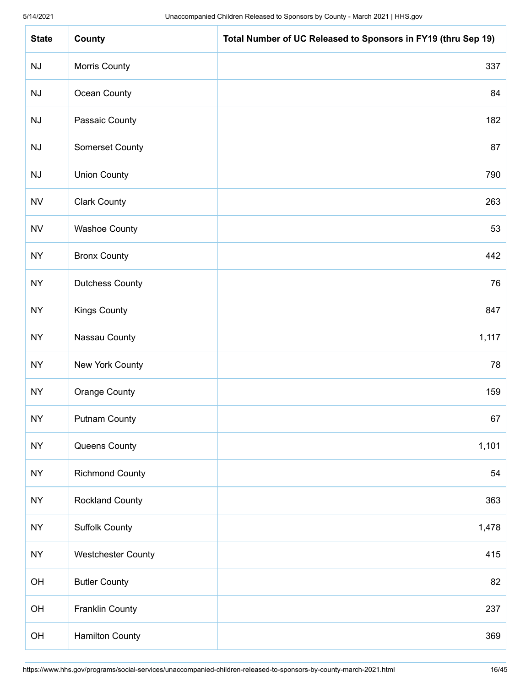| <b>State</b>           | County                    | Total Number of UC Released to Sponsors in FY19 (thru Sep 19) |
|------------------------|---------------------------|---------------------------------------------------------------|
| NJ                     | Morris County             | 337                                                           |
| $\mathsf{N}\mathsf{J}$ | Ocean County              | 84                                                            |
| NJ                     | Passaic County            | 182                                                           |
| NJ                     | Somerset County           | 87                                                            |
| NJ                     | <b>Union County</b>       | 790                                                           |
| <b>NV</b>              | <b>Clark County</b>       | 263                                                           |
| ${\sf NV}$             | <b>Washoe County</b>      | 53                                                            |
| <b>NY</b>              | <b>Bronx County</b>       | 442                                                           |
| <b>NY</b>              | <b>Dutchess County</b>    | 76                                                            |
| <b>NY</b>              | <b>Kings County</b>       | 847                                                           |
| <b>NY</b>              | Nassau County             | 1,117                                                         |
| <b>NY</b>              | New York County           | 78                                                            |
| <b>NY</b>              | <b>Orange County</b>      | 159                                                           |
| NY                     | <b>Putnam County</b>      | 67                                                            |
| <b>NY</b>              | Queens County             | 1,101                                                         |
| <b>NY</b>              | <b>Richmond County</b>    | 54                                                            |
| <b>NY</b>              | <b>Rockland County</b>    | 363                                                           |
| <b>NY</b>              | <b>Suffolk County</b>     | 1,478                                                         |
| <b>NY</b>              | <b>Westchester County</b> | 415                                                           |
| OH                     | <b>Butler County</b>      | 82                                                            |
| OH                     | <b>Franklin County</b>    | 237                                                           |
| OH                     | <b>Hamilton County</b>    | 369                                                           |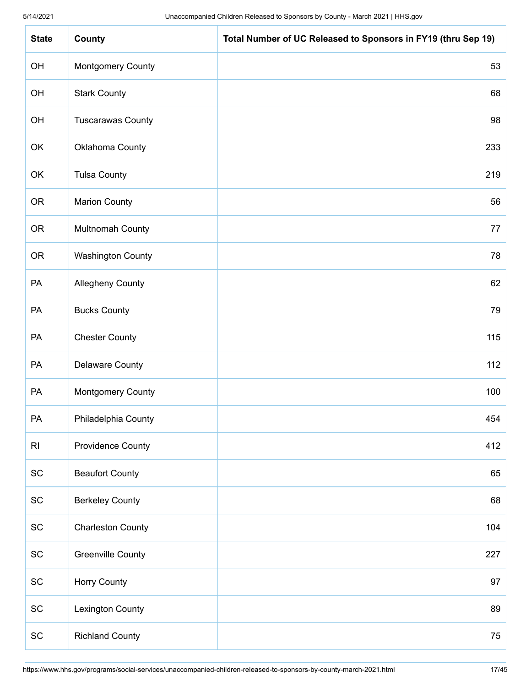| <b>State</b>                 | County                   | Total Number of UC Released to Sponsors in FY19 (thru Sep 19) |
|------------------------------|--------------------------|---------------------------------------------------------------|
| OH                           | <b>Montgomery County</b> | 53                                                            |
| OH                           | <b>Stark County</b>      | 68                                                            |
| OH                           | <b>Tuscarawas County</b> | 98                                                            |
| OK                           | Oklahoma County          | 233                                                           |
| OK                           | <b>Tulsa County</b>      | 219                                                           |
| <b>OR</b>                    | <b>Marion County</b>     | 56                                                            |
| <b>OR</b>                    | Multnomah County         | 77                                                            |
| <b>OR</b>                    | <b>Washington County</b> | 78                                                            |
| PA                           | <b>Allegheny County</b>  | 62                                                            |
| PA                           | <b>Bucks County</b>      | 79                                                            |
| PA                           | <b>Chester County</b>    | 115                                                           |
| PA                           | <b>Delaware County</b>   | 112                                                           |
| PA                           | <b>Montgomery County</b> | 100                                                           |
| PA                           | Philadelphia County      | 454                                                           |
| R <sub>l</sub>               | <b>Providence County</b> | 412                                                           |
| $\operatorname{\textsf{SC}}$ | <b>Beaufort County</b>   | 65                                                            |
| $\operatorname{\textsf{SC}}$ | <b>Berkeley County</b>   | 68                                                            |
| $\operatorname{\textsf{SC}}$ | <b>Charleston County</b> | 104                                                           |
| $\operatorname{\textsf{SC}}$ | <b>Greenville County</b> | 227                                                           |
| $\operatorname{\textsf{SC}}$ | Horry County             | 97                                                            |
| $\operatorname{\textsf{SC}}$ | <b>Lexington County</b>  | 89                                                            |
| SC                           | <b>Richland County</b>   | 75                                                            |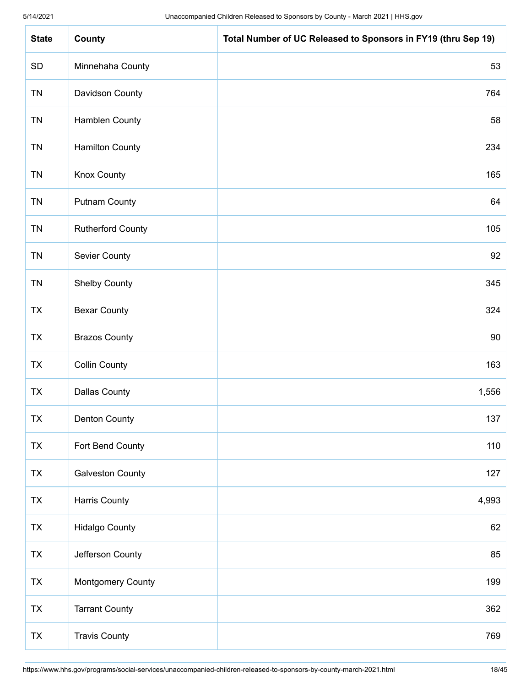| <b>State</b> | County                   | Total Number of UC Released to Sponsors in FY19 (thru Sep 19) |
|--------------|--------------------------|---------------------------------------------------------------|
| SD           | Minnehaha County         | 53                                                            |
| <b>TN</b>    | Davidson County          | 764                                                           |
| <b>TN</b>    | <b>Hamblen County</b>    | 58                                                            |
| <b>TN</b>    | <b>Hamilton County</b>   | 234                                                           |
| <b>TN</b>    | <b>Knox County</b>       | 165                                                           |
| <b>TN</b>    | <b>Putnam County</b>     | 64                                                            |
| <b>TN</b>    | <b>Rutherford County</b> | 105                                                           |
| <b>TN</b>    | <b>Sevier County</b>     | 92                                                            |
| <b>TN</b>    | <b>Shelby County</b>     | 345                                                           |
| <b>TX</b>    | <b>Bexar County</b>      | 324                                                           |
| <b>TX</b>    | <b>Brazos County</b>     | 90                                                            |
| <b>TX</b>    | <b>Collin County</b>     | 163                                                           |
| <b>TX</b>    | <b>Dallas County</b>     | 1,556                                                         |
| TX           | Denton County            | 137                                                           |
| <b>TX</b>    | Fort Bend County         | 110                                                           |
| <b>TX</b>    | <b>Galveston County</b>  | 127                                                           |
| <b>TX</b>    | <b>Harris County</b>     | 4,993                                                         |
| <b>TX</b>    | <b>Hidalgo County</b>    | 62                                                            |
| <b>TX</b>    | Jefferson County         | 85                                                            |
| <b>TX</b>    | <b>Montgomery County</b> | 199                                                           |
| TX           | <b>Tarrant County</b>    | 362                                                           |
| <b>TX</b>    | <b>Travis County</b>     | 769                                                           |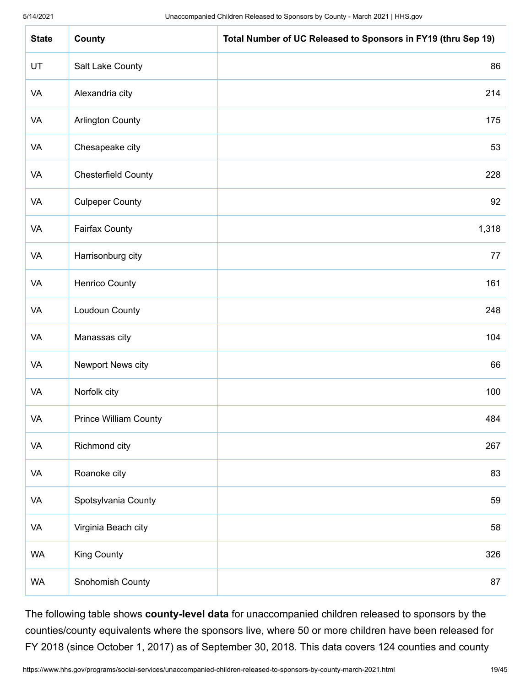| <b>State</b> | County                       | Total Number of UC Released to Sponsors in FY19 (thru Sep 19) |
|--------------|------------------------------|---------------------------------------------------------------|
| UT           | Salt Lake County             | 86                                                            |
| <b>VA</b>    | Alexandria city              | 214                                                           |
| VA           | <b>Arlington County</b>      | 175                                                           |
| <b>VA</b>    | Chesapeake city              | 53                                                            |
| <b>VA</b>    | <b>Chesterfield County</b>   | 228                                                           |
| <b>VA</b>    | <b>Culpeper County</b>       | 92                                                            |
| <b>VA</b>    | <b>Fairfax County</b>        | 1,318                                                         |
| VA           | Harrisonburg city            | 77                                                            |
| <b>VA</b>    | <b>Henrico County</b>        | 161                                                           |
| VA           | Loudoun County               | 248                                                           |
| VA           | Manassas city                | 104                                                           |
| <b>VA</b>    | Newport News city            | 66                                                            |
| <b>VA</b>    | Norfolk city                 | 100                                                           |
| VA           | <b>Prince William County</b> | 484                                                           |
| VA           | Richmond city                | 267                                                           |
| VA           | Roanoke city                 | 83                                                            |
| VA           | Spotsylvania County          | 59                                                            |
| VA           | Virginia Beach city          | 58                                                            |
| <b>WA</b>    | <b>King County</b>           | 326                                                           |
| <b>WA</b>    | Snohomish County             | 87                                                            |

The following table shows **county-level data** for unaccompanied children released to sponsors by the counties/county equivalents where the sponsors live, where 50 or more children have been released for FY 2018 (since October 1, 2017) as of September 30, 2018. This data covers 124 counties and county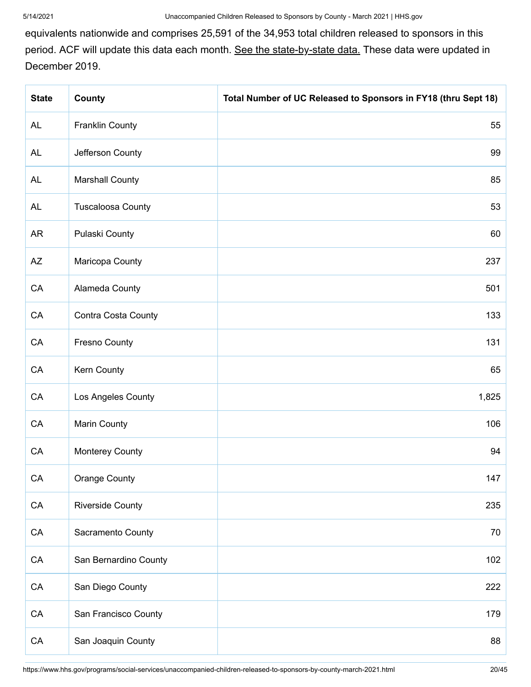equivalents nationwide and comprises 25,591 of the 34,953 total children released to sponsors in this period. ACF will update this data each month. [See the state-by-state data.](https://www.acf.hhs.gov/orr/resource/unaccompanied-alien-children-released-to-sponsors-by-state) These data were updated in December 2019.

| <b>State</b> | County                     | Total Number of UC Released to Sponsors in FY18 (thru Sept 18) |
|--------------|----------------------------|----------------------------------------------------------------|
| AL           | <b>Franklin County</b>     | 55                                                             |
| AL           | Jefferson County           | 99                                                             |
| AL           | <b>Marshall County</b>     | 85                                                             |
| <b>AL</b>    | <b>Tuscaloosa County</b>   | 53                                                             |
| <b>AR</b>    | Pulaski County             | 60                                                             |
| AZ           | Maricopa County            | 237                                                            |
| CA           | Alameda County             | 501                                                            |
| CA           | <b>Contra Costa County</b> | 133                                                            |
| CA           | <b>Fresno County</b>       | 131                                                            |
| CA           | Kern County                | 65                                                             |
| CA           | Los Angeles County         | 1,825                                                          |
| CA           | <b>Marin County</b>        | 106                                                            |
| CA           | <b>Monterey County</b>     | 94                                                             |
| CA           | <b>Orange County</b>       | 147                                                            |
| ${\sf CA}$   | <b>Riverside County</b>    | 235                                                            |
| ${\sf CA}$   | Sacramento County          | 70                                                             |
| CA           | San Bernardino County      | 102                                                            |
| CA           | San Diego County           | 222                                                            |
| CA           | San Francisco County       | 179                                                            |
| CA           | San Joaquin County         | 88                                                             |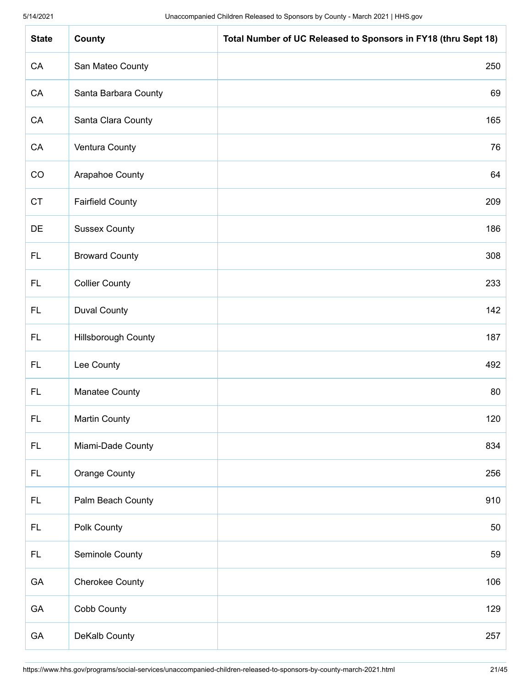| <b>State</b> | County                     | Total Number of UC Released to Sponsors in FY18 (thru Sept 18) |
|--------------|----------------------------|----------------------------------------------------------------|
| CA           | San Mateo County           | 250                                                            |
| CA           | Santa Barbara County       | 69                                                             |
| CA           | Santa Clara County         | 165                                                            |
| CA           | Ventura County             | 76                                                             |
| CO           | Arapahoe County            | 64                                                             |
| <b>CT</b>    | <b>Fairfield County</b>    | 209                                                            |
| DE           | <b>Sussex County</b>       | 186                                                            |
| <b>FL</b>    | <b>Broward County</b>      | 308                                                            |
| <b>FL</b>    | <b>Collier County</b>      | 233                                                            |
| FL.          | <b>Duval County</b>        | 142                                                            |
| FL.          | <b>Hillsborough County</b> | 187                                                            |
| <b>FL</b>    | Lee County                 | 492                                                            |
| FL.          | Manatee County             | 80                                                             |
| FL           | <b>Martin County</b>       | 120                                                            |
| <b>FL</b>    | Miami-Dade County          | 834                                                            |
| <b>FL</b>    | Orange County              | 256                                                            |
| <b>FL</b>    | Palm Beach County          | 910                                                            |
| <b>FL</b>    | Polk County                | 50                                                             |
| <b>FL</b>    | Seminole County            | 59                                                             |
| GA           | <b>Cherokee County</b>     | 106                                                            |
| GA           | Cobb County                | 129                                                            |
| GA           | DeKalb County              | 257                                                            |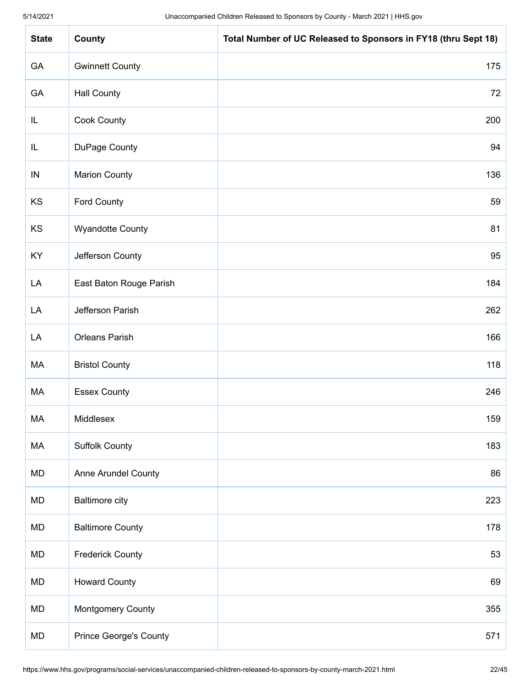| <b>State</b> | County                        | Total Number of UC Released to Sponsors in FY18 (thru Sept 18) |
|--------------|-------------------------------|----------------------------------------------------------------|
| GA           | <b>Gwinnett County</b>        | 175                                                            |
| GA           | <b>Hall County</b>            | 72                                                             |
| IL           | Cook County                   | 200                                                            |
| IL           | DuPage County                 | 94                                                             |
| IN           | <b>Marion County</b>          | 136                                                            |
| KS           | <b>Ford County</b>            | 59                                                             |
| KS           | <b>Wyandotte County</b>       | 81                                                             |
| KY           | Jefferson County              | 95                                                             |
| LA           | East Baton Rouge Parish       | 184                                                            |
| LA           | Jefferson Parish              | 262                                                            |
| LA           | <b>Orleans Parish</b>         | 166                                                            |
| МA           | <b>Bristol County</b>         | 118                                                            |
| МA           | <b>Essex County</b>           | 246                                                            |
| MA           | Middlesex                     | 159                                                            |
| МA           | <b>Suffolk County</b>         | 183                                                            |
| MD           | Anne Arundel County           | 86                                                             |
| MD           | <b>Baltimore city</b>         | 223                                                            |
| MD           | <b>Baltimore County</b>       | 178                                                            |
| MD           | <b>Frederick County</b>       | 53                                                             |
| MD           | <b>Howard County</b>          | 69                                                             |
| MD           | <b>Montgomery County</b>      | 355                                                            |
| MD           | <b>Prince George's County</b> | 571                                                            |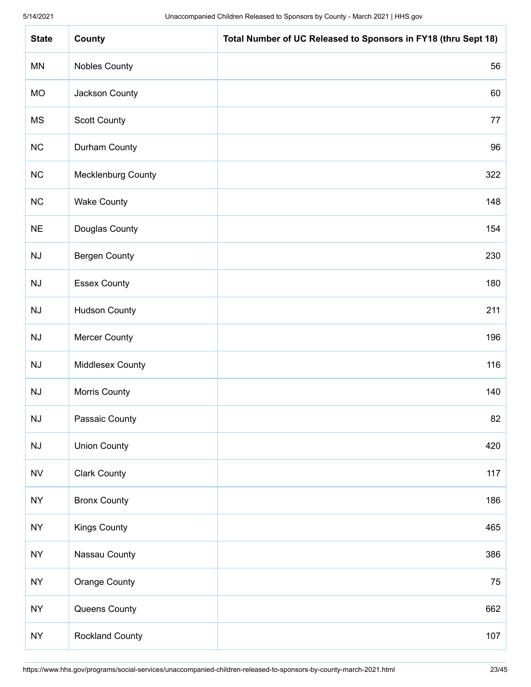| <b>State</b>           | County                    | Total Number of UC Released to Sponsors in FY18 (thru Sept 18) |
|------------------------|---------------------------|----------------------------------------------------------------|
| MN                     | <b>Nobles County</b>      | 56                                                             |
| <b>MO</b>              | Jackson County            | 60                                                             |
| <b>MS</b>              | <b>Scott County</b>       | 77                                                             |
| NC                     | Durham County             | 96                                                             |
| NC                     | <b>Mecklenburg County</b> | 322                                                            |
| NC                     | <b>Wake County</b>        | 148                                                            |
| $NE$                   | Douglas County            | 154                                                            |
| $\mathsf{N}\mathsf{J}$ | <b>Bergen County</b>      | 230                                                            |
| NJ                     | <b>Essex County</b>       | 180                                                            |
| $\mathsf{N}\mathsf{J}$ | <b>Hudson County</b>      | 211                                                            |
| NJ                     | <b>Mercer County</b>      | 196                                                            |
| NJ                     | <b>Middlesex County</b>   | 116                                                            |
| NJ                     | Morris County             | 140                                                            |
| NJ                     | Passaic County            | 82                                                             |
| $\mathsf{N}\mathsf{J}$ | <b>Union County</b>       | 420                                                            |
| ${\sf NV}$             | <b>Clark County</b>       | 117                                                            |
| <b>NY</b>              | <b>Bronx County</b>       | 186                                                            |
| <b>NY</b>              | <b>Kings County</b>       | 465                                                            |
| <b>NY</b>              | Nassau County             | 386                                                            |
| <b>NY</b>              | <b>Orange County</b>      | 75                                                             |
| <b>NY</b>              | Queens County             | 662                                                            |
| <b>NY</b>              | Rockland County           | 107                                                            |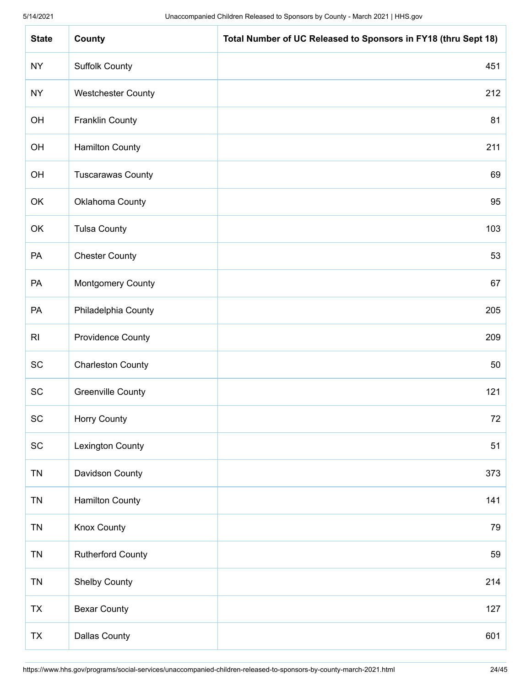| <b>State</b>                 | County                    | Total Number of UC Released to Sponsors in FY18 (thru Sept 18) |
|------------------------------|---------------------------|----------------------------------------------------------------|
| <b>NY</b>                    | <b>Suffolk County</b>     | 451                                                            |
| <b>NY</b>                    | <b>Westchester County</b> | 212                                                            |
| OH                           | <b>Franklin County</b>    | 81                                                             |
| OH                           | <b>Hamilton County</b>    | 211                                                            |
| OH                           | <b>Tuscarawas County</b>  | 69                                                             |
| OK                           | Oklahoma County           | 95                                                             |
| OK                           | <b>Tulsa County</b>       | 103                                                            |
| PA                           | <b>Chester County</b>     | 53                                                             |
| PA                           | <b>Montgomery County</b>  | 67                                                             |
| PA                           | Philadelphia County       | 205                                                            |
| R <sub>l</sub>               | <b>Providence County</b>  | 209                                                            |
| SC                           | <b>Charleston County</b>  | 50                                                             |
| <b>SC</b>                    | <b>Greenville County</b>  | 121                                                            |
| <b>SC</b>                    | Horry County              | 72                                                             |
| $\operatorname{\textsf{SC}}$ | <b>Lexington County</b>   | 51                                                             |
| <b>TN</b>                    | Davidson County           | 373                                                            |
| <b>TN</b>                    | <b>Hamilton County</b>    | 141                                                            |
| <b>TN</b>                    | <b>Knox County</b>        | 79                                                             |
| <b>TN</b>                    | <b>Rutherford County</b>  | 59                                                             |
| <b>TN</b>                    | <b>Shelby County</b>      | 214                                                            |
| TX                           | <b>Bexar County</b>       | 127                                                            |
| <b>TX</b>                    | <b>Dallas County</b>      | 601                                                            |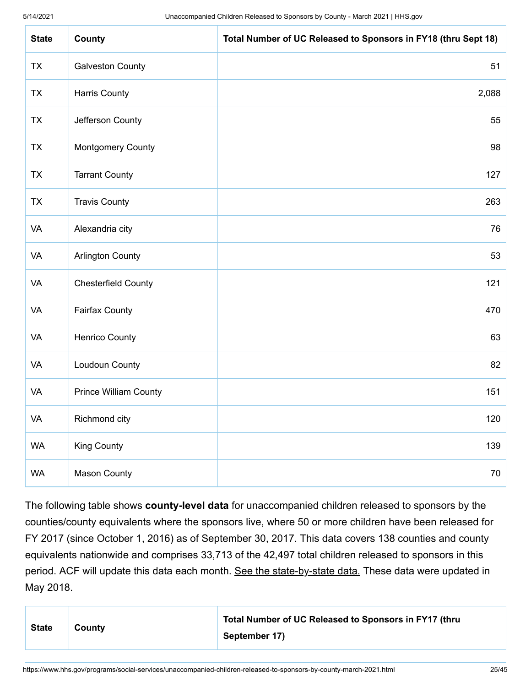| <b>State</b> | County                       | Total Number of UC Released to Sponsors in FY18 (thru Sept 18) |
|--------------|------------------------------|----------------------------------------------------------------|
| <b>TX</b>    | <b>Galveston County</b>      | 51                                                             |
| <b>TX</b>    | <b>Harris County</b>         | 2,088                                                          |
| <b>TX</b>    | Jefferson County             | 55                                                             |
| <b>TX</b>    | <b>Montgomery County</b>     | 98                                                             |
| <b>TX</b>    | <b>Tarrant County</b>        | 127                                                            |
| <b>TX</b>    | <b>Travis County</b>         | 263                                                            |
| VA           | Alexandria city              | 76                                                             |
| VA           | <b>Arlington County</b>      | 53                                                             |
| VA           | <b>Chesterfield County</b>   | 121                                                            |
| VA           | <b>Fairfax County</b>        | 470                                                            |
| VA           | Henrico County               | 63                                                             |
| <b>VA</b>    | Loudoun County               | 82                                                             |
| VA           | <b>Prince William County</b> | 151                                                            |
| VA           | Richmond city                | 120                                                            |
| <b>WA</b>    | <b>King County</b>           | 139                                                            |
| <b>WA</b>    | <b>Mason County</b>          | $70\,$                                                         |

The following table shows **county-level data** for unaccompanied children released to sponsors by the counties/county equivalents where the sponsors live, where 50 or more children have been released for FY 2017 (since October 1, 2016) as of September 30, 2017. This data covers 138 counties and county equivalents nationwide and comprises 33,713 of the 42,497 total children released to sponsors in this period. ACF will update this data each month. [See the state-by-state data.](https://www.acf.hhs.gov/orr/resource/unaccompanied-alien-children-released-to-sponsors-by-state) These data were updated in May 2018.

| <b>State</b> | County | Total Number of UC Released to Sponsors in FY17 (thru |
|--------------|--------|-------------------------------------------------------|
|              |        | September 17)                                         |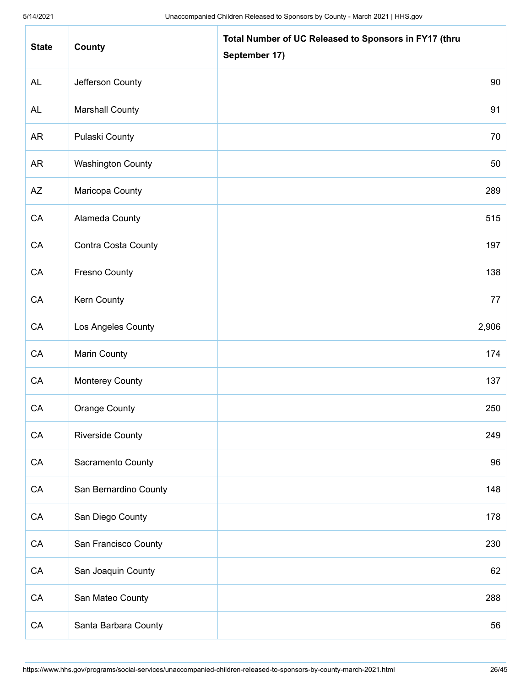| <b>State</b> | County                   | Total Number of UC Released to Sponsors in FY17 (thru<br>September 17) |
|--------------|--------------------------|------------------------------------------------------------------------|
| <b>AL</b>    | Jefferson County         | 90                                                                     |
| <b>AL</b>    | <b>Marshall County</b>   | 91                                                                     |
| <b>AR</b>    | <b>Pulaski County</b>    | 70                                                                     |
| <b>AR</b>    | <b>Washington County</b> | 50                                                                     |
| AZ           | Maricopa County          | 289                                                                    |
| CA           | Alameda County           | 515                                                                    |
| CA           | Contra Costa County      | 197                                                                    |
| CA           | <b>Fresno County</b>     | 138                                                                    |
| CA           | Kern County              | 77                                                                     |
| CA           | Los Angeles County       | 2,906                                                                  |
| CA           | <b>Marin County</b>      | 174                                                                    |
| CA           | <b>Monterey County</b>   | 137                                                                    |
| CA           | Orange County            | 250                                                                    |
| ${\sf CA}$   | <b>Riverside County</b>  | 249                                                                    |
| CA           | Sacramento County        | 96                                                                     |
| ${\sf CA}$   | San Bernardino County    | 148                                                                    |
| CA           | San Diego County         | 178                                                                    |
| CA           | San Francisco County     | 230                                                                    |
| ${\sf CA}$   | San Joaquin County       | 62                                                                     |
| CA           | San Mateo County         | 288                                                                    |
| CA           | Santa Barbara County     | 56                                                                     |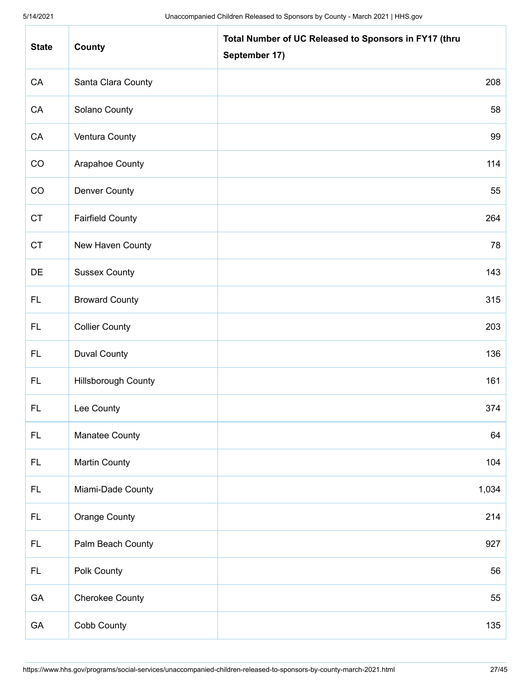| <b>State</b>  | County                     | Total Number of UC Released to Sponsors in FY17 (thru<br>September 17) |
|---------------|----------------------------|------------------------------------------------------------------------|
| CA            | Santa Clara County         | 208                                                                    |
| CA            | Solano County              | 58                                                                     |
| CA            | Ventura County             | 99                                                                     |
| CO            | Arapahoe County            | 114                                                                    |
| CO            | Denver County              | 55                                                                     |
| CT            | <b>Fairfield County</b>    | 264                                                                    |
| <b>CT</b>     | New Haven County           | 78                                                                     |
| DE            | <b>Sussex County</b>       | 143                                                                    |
| <b>FL</b>     | <b>Broward County</b>      | 315                                                                    |
| FL.           | <b>Collier County</b>      | 203                                                                    |
| <b>FL</b>     | <b>Duval County</b>        | 136                                                                    |
| <b>FL</b>     | <b>Hillsborough County</b> | 161                                                                    |
| FL.           | Lee County                 | 374                                                                    |
| $\mathsf{FL}$ | Manatee County             | 64                                                                     |
| <b>FL</b>     | <b>Martin County</b>       | 104                                                                    |
| <b>FL</b>     | Miami-Dade County          | 1,034                                                                  |
| $\mathsf{FL}$ | <b>Orange County</b>       | 214                                                                    |
| <b>FL</b>     | Palm Beach County          | 927                                                                    |
| $\mathsf{FL}$ | Polk County                | 56                                                                     |
| GA            | <b>Cherokee County</b>     | 55                                                                     |
| GA            | Cobb County                | 135                                                                    |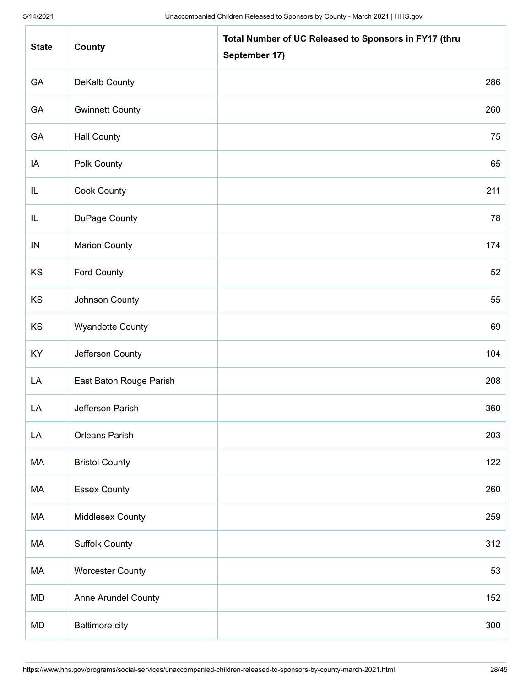| <b>State</b> | County                  | Total Number of UC Released to Sponsors in FY17 (thru<br>September 17) |
|--------------|-------------------------|------------------------------------------------------------------------|
| GA           | DeKalb County           | 286                                                                    |
| GA           | <b>Gwinnett County</b>  | 260                                                                    |
| GA           | <b>Hall County</b>      | 75                                                                     |
| IA           | Polk County             | 65                                                                     |
| IL           | <b>Cook County</b>      | 211                                                                    |
| IL           | DuPage County           | 78                                                                     |
| IN           | <b>Marion County</b>    | 174                                                                    |
| KS           | <b>Ford County</b>      | 52                                                                     |
| KS           | Johnson County          | 55                                                                     |
| KS           | <b>Wyandotte County</b> | 69                                                                     |
| KY           | Jefferson County        | 104                                                                    |
| LA           | East Baton Rouge Parish | 208                                                                    |
| LA           | Jefferson Parish        | 360                                                                    |
| LA           | Orleans Parish          | 203                                                                    |
| MA           | <b>Bristol County</b>   | 122                                                                    |
| МA           | <b>Essex County</b>     | 260                                                                    |
| MA           | Middlesex County        | 259                                                                    |
| МA           | <b>Suffolk County</b>   | 312                                                                    |
| МA           | <b>Worcester County</b> | 53                                                                     |
| <b>MD</b>    | Anne Arundel County     | 152                                                                    |
| MD           | <b>Baltimore city</b>   | 300                                                                    |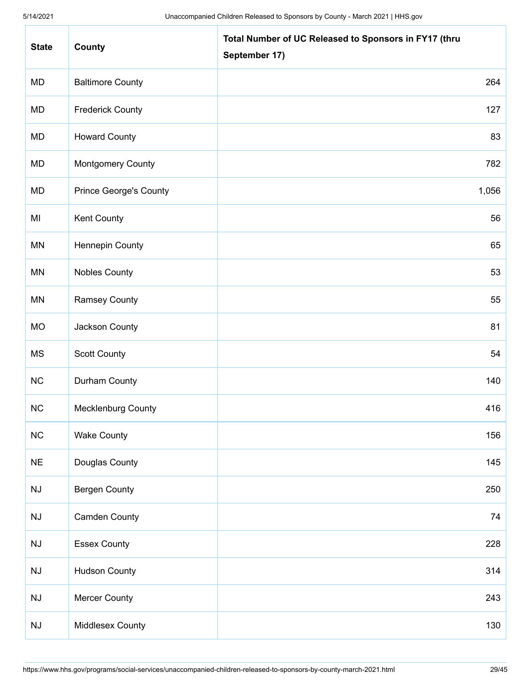| <b>State</b> | County                        | Total Number of UC Released to Sponsors in FY17 (thru<br>September 17) |
|--------------|-------------------------------|------------------------------------------------------------------------|
| MD           | <b>Baltimore County</b>       | 264                                                                    |
| MD           | <b>Frederick County</b>       | 127                                                                    |
| MD           | <b>Howard County</b>          | 83                                                                     |
| MD           | <b>Montgomery County</b>      | 782                                                                    |
| MD           | <b>Prince George's County</b> | 1,056                                                                  |
| MI           | Kent County                   | 56                                                                     |
| MN           | <b>Hennepin County</b>        | 65                                                                     |
| <b>MN</b>    | <b>Nobles County</b>          | 53                                                                     |
| MN           | <b>Ramsey County</b>          | 55                                                                     |
| <b>MO</b>    | Jackson County                | 81                                                                     |
| <b>MS</b>    | <b>Scott County</b>           | 54                                                                     |
| NC           | Durham County                 | 140                                                                    |
| NC           | Mecklenburg County            | 416                                                                    |
| NC           | <b>Wake County</b>            | 156                                                                    |
| $NE$         | Douglas County                | 145                                                                    |
| NJ           | <b>Bergen County</b>          | 250                                                                    |
| NJ           | <b>Camden County</b>          | 74                                                                     |
| NJ           | <b>Essex County</b>           | 228                                                                    |
| NJ           | <b>Hudson County</b>          | 314                                                                    |
| NJ           | <b>Mercer County</b>          | 243                                                                    |
| NJ           | Middlesex County              | 130                                                                    |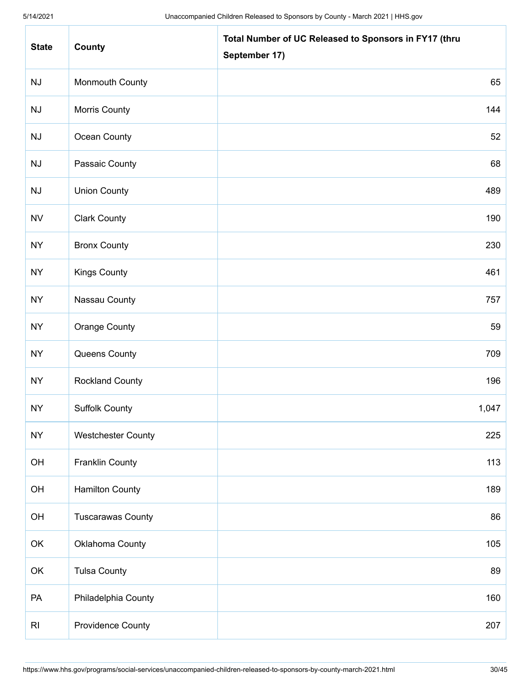| <b>State</b>   | County                    | Total Number of UC Released to Sponsors in FY17 (thru<br>September 17) |
|----------------|---------------------------|------------------------------------------------------------------------|
| NJ             | <b>Monmouth County</b>    | 65                                                                     |
| NJ             | <b>Morris County</b>      | 144                                                                    |
| NJ             | Ocean County              | 52                                                                     |
| NJ             | Passaic County            | 68                                                                     |
| NJ             | <b>Union County</b>       | 489                                                                    |
| <b>NV</b>      | <b>Clark County</b>       | 190                                                                    |
| <b>NY</b>      | <b>Bronx County</b>       | 230                                                                    |
| <b>NY</b>      | Kings County              | 461                                                                    |
| <b>NY</b>      | Nassau County             | 757                                                                    |
| <b>NY</b>      | <b>Orange County</b>      | 59                                                                     |
| <b>NY</b>      | Queens County             | 709                                                                    |
| <b>NY</b>      | <b>Rockland County</b>    | 196                                                                    |
| <b>NY</b>      | <b>Suffolk County</b>     | 1,047                                                                  |
| <b>NY</b>      | <b>Westchester County</b> | 225                                                                    |
| OH             | <b>Franklin County</b>    | 113                                                                    |
| OH             | <b>Hamilton County</b>    | 189                                                                    |
| OH             | <b>Tuscarawas County</b>  | 86                                                                     |
| OK             | Oklahoma County           | 105                                                                    |
| OK             | <b>Tulsa County</b>       | 89                                                                     |
| PA             | Philadelphia County       | 160                                                                    |
| R <sub>l</sub> | <b>Providence County</b>  | 207                                                                    |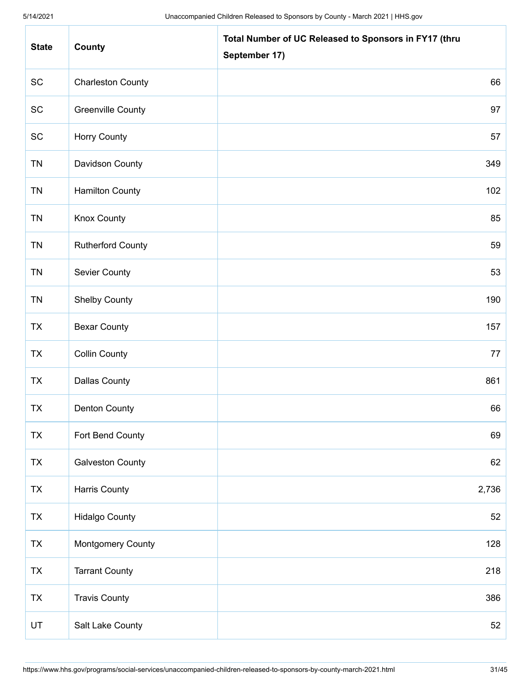| <b>State</b> | County                   | Total Number of UC Released to Sponsors in FY17 (thru<br>September 17) |
|--------------|--------------------------|------------------------------------------------------------------------|
| SC           | <b>Charleston County</b> | 66                                                                     |
| SC           | <b>Greenville County</b> | 97                                                                     |
| SC           | Horry County             | 57                                                                     |
| <b>TN</b>    | Davidson County          | 349                                                                    |
| <b>TN</b>    | <b>Hamilton County</b>   | 102                                                                    |
| <b>TN</b>    | <b>Knox County</b>       | 85                                                                     |
| <b>TN</b>    | <b>Rutherford County</b> | 59                                                                     |
| <b>TN</b>    | <b>Sevier County</b>     | 53                                                                     |
| <b>TN</b>    | <b>Shelby County</b>     | 190                                                                    |
| <b>TX</b>    | <b>Bexar County</b>      | 157                                                                    |
| <b>TX</b>    | <b>Collin County</b>     | 77                                                                     |
| <b>TX</b>    | <b>Dallas County</b>     | 861                                                                    |
| <b>TX</b>    | <b>Denton County</b>     | 66                                                                     |
| <b>TX</b>    | Fort Bend County         | 69                                                                     |
| <b>TX</b>    | <b>Galveston County</b>  | 62                                                                     |
| TX           | Harris County            | 2,736                                                                  |
| <b>TX</b>    | <b>Hidalgo County</b>    | 52                                                                     |
| TX           | <b>Montgomery County</b> | 128                                                                    |
| <b>TX</b>    | <b>Tarrant County</b>    | 218                                                                    |
| <b>TX</b>    | <b>Travis County</b>     | 386                                                                    |
| UT           | Salt Lake County         | 52                                                                     |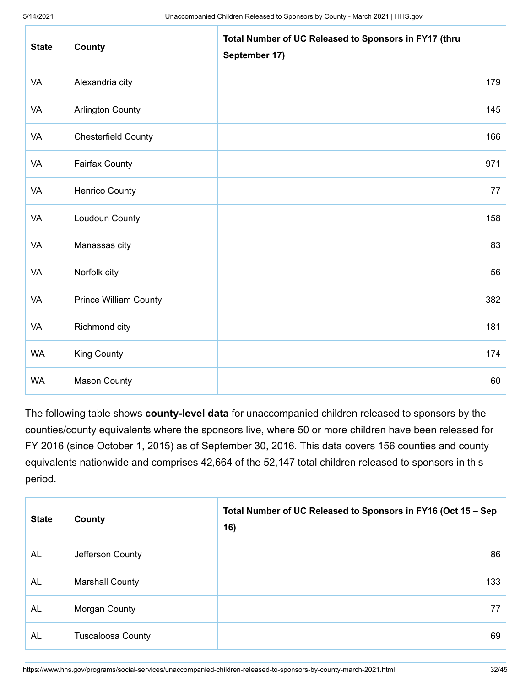| <b>State</b> | County                       | Total Number of UC Released to Sponsors in FY17 (thru<br>September 17) |
|--------------|------------------------------|------------------------------------------------------------------------|
| VA           | Alexandria city              | 179                                                                    |
| VA           | <b>Arlington County</b>      | 145                                                                    |
| VA           | <b>Chesterfield County</b>   | 166                                                                    |
| VA           | <b>Fairfax County</b>        | 971                                                                    |
| VA           | <b>Henrico County</b>        | 77                                                                     |
| VA           | Loudoun County               | 158                                                                    |
| VA           | Manassas city                | 83                                                                     |
| VA           | Norfolk city                 | 56                                                                     |
| VA           | <b>Prince William County</b> | 382                                                                    |
| VA           | Richmond city                | 181                                                                    |
| <b>WA</b>    | <b>King County</b>           | 174                                                                    |
| <b>WA</b>    | <b>Mason County</b>          | 60                                                                     |

The following table shows **county-level data** for unaccompanied children released to sponsors by the counties/county equivalents where the sponsors live, where 50 or more children have been released for FY 2016 (since October 1, 2015) as of September 30, 2016. This data covers 156 counties and county equivalents nationwide and comprises 42,664 of the 52,147 total children released to sponsors in this period.

| <b>State</b> | County                   | Total Number of UC Released to Sponsors in FY16 (Oct 15 - Sep<br>16) |
|--------------|--------------------------|----------------------------------------------------------------------|
| AL           | Jefferson County         | 86                                                                   |
| <b>AL</b>    | <b>Marshall County</b>   | 133                                                                  |
| <b>AL</b>    | Morgan County            | 77                                                                   |
| <b>AL</b>    | <b>Tuscaloosa County</b> | 69                                                                   |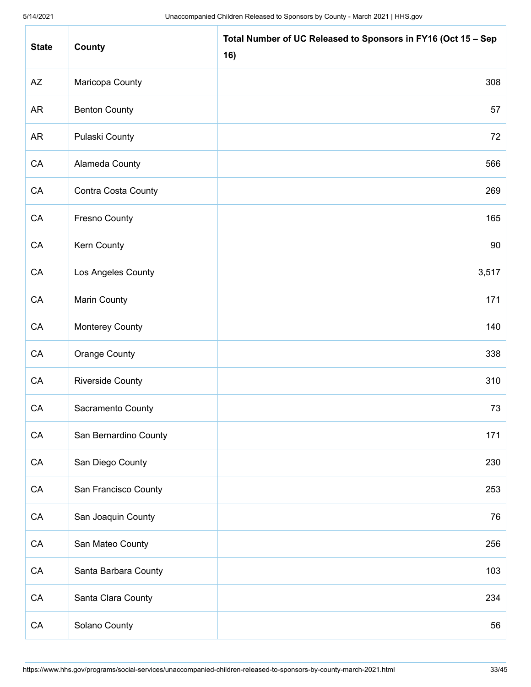| <b>State</b> | County                  | Total Number of UC Released to Sponsors in FY16 (Oct 15 - Sep<br>16) |
|--------------|-------------------------|----------------------------------------------------------------------|
| AZ           | Maricopa County         | 308                                                                  |
| AR           | <b>Benton County</b>    | 57                                                                   |
| <b>AR</b>    | Pulaski County          | 72                                                                   |
| CA           | Alameda County          | 566                                                                  |
| CA           | Contra Costa County     | 269                                                                  |
| ${\sf CA}$   | <b>Fresno County</b>    | 165                                                                  |
| CA           | Kern County             | 90                                                                   |
| CA           | Los Angeles County      | 3,517                                                                |
| ${\sf CA}$   | <b>Marin County</b>     | 171                                                                  |
| CA           | <b>Monterey County</b>  | 140                                                                  |
| CA           | Orange County           | 338                                                                  |
| CA           | <b>Riverside County</b> | 310                                                                  |
| CA           | Sacramento County       | 73                                                                   |
| ${\sf CA}$   | San Bernardino County   | 171                                                                  |
| ${\sf CA}$   | San Diego County        | 230                                                                  |
| ${\sf CA}$   | San Francisco County    | 253                                                                  |
| ${\sf CA}$   | San Joaquin County      | 76                                                                   |
| ${\sf CA}$   | San Mateo County        | 256                                                                  |
| ${\sf CA}$   | Santa Barbara County    | 103                                                                  |
| ${\sf CA}$   | Santa Clara County      | 234                                                                  |
| ${\sf CA}$   | Solano County           | 56                                                                   |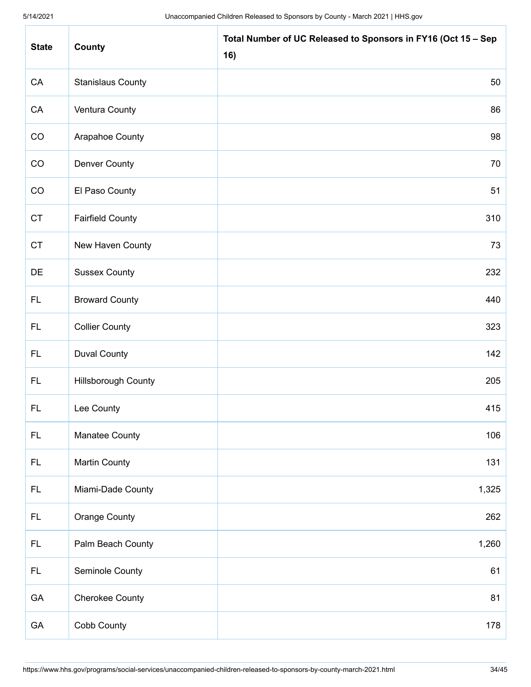| <b>State</b> | County                     | Total Number of UC Released to Sponsors in FY16 (Oct 15 - Sep<br>16) |
|--------------|----------------------------|----------------------------------------------------------------------|
| CA           | <b>Stanislaus County</b>   | 50                                                                   |
| CA           | Ventura County             | 86                                                                   |
| CO           | Arapahoe County            | 98                                                                   |
| CO           | <b>Denver County</b>       | 70                                                                   |
| CO           | El Paso County             | 51                                                                   |
| <b>CT</b>    | <b>Fairfield County</b>    | 310                                                                  |
| <b>CT</b>    | New Haven County           | 73                                                                   |
| DE           | <b>Sussex County</b>       | 232                                                                  |
| <b>FL</b>    | <b>Broward County</b>      | 440                                                                  |
| FL.          | <b>Collier County</b>      | 323                                                                  |
| FL.          | <b>Duval County</b>        | 142                                                                  |
| FL.          | <b>Hillsborough County</b> | 205                                                                  |
| <b>FL</b>    | Lee County                 | 415                                                                  |
| FL.          | Manatee County             | 106                                                                  |
| <b>FL</b>    | <b>Martin County</b>       | 131                                                                  |
| FL.          | Miami-Dade County          | 1,325                                                                |
| FL.          | <b>Orange County</b>       | 262                                                                  |
| FL.          | Palm Beach County          | 1,260                                                                |
| FL.          | Seminole County            | 61                                                                   |
| GA           | <b>Cherokee County</b>     | 81                                                                   |
| GA           | Cobb County                | 178                                                                  |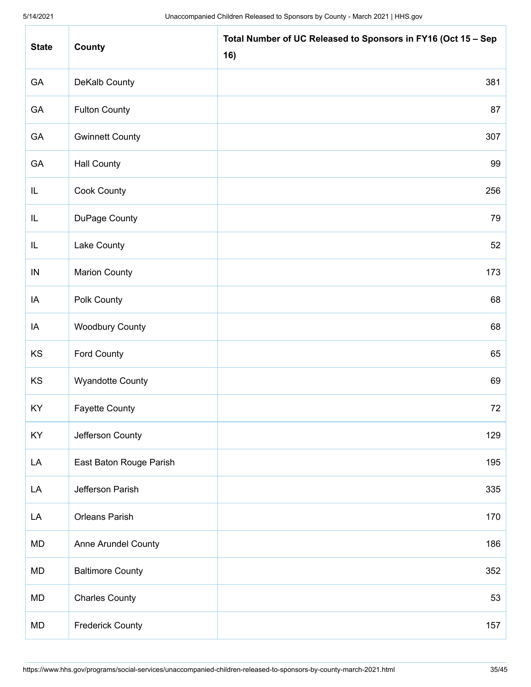| <b>State</b> | County                  | Total Number of UC Released to Sponsors in FY16 (Oct 15 - Sep<br>16) |
|--------------|-------------------------|----------------------------------------------------------------------|
| GA           | DeKalb County           | 381                                                                  |
| GA           | <b>Fulton County</b>    | 87                                                                   |
| GA           | <b>Gwinnett County</b>  | 307                                                                  |
| GA           | <b>Hall County</b>      | 99                                                                   |
| IL           | Cook County             | 256                                                                  |
| IL           | DuPage County           | 79                                                                   |
| IL           | Lake County             | 52                                                                   |
| $\sf IN$     | <b>Marion County</b>    | 173                                                                  |
| IA           | Polk County             | 68                                                                   |
| IA           | <b>Woodbury County</b>  | 68                                                                   |
| KS           | Ford County             | 65                                                                   |
| KS           | <b>Wyandotte County</b> | 69                                                                   |
| KY           | <b>Fayette County</b>   | 72                                                                   |
| KY           | Jefferson County        | 129                                                                  |
| LA           | East Baton Rouge Parish | 195                                                                  |
| LA           | Jefferson Parish        | 335                                                                  |
| LA           | <b>Orleans Parish</b>   | 170                                                                  |
| MD           | Anne Arundel County     | 186                                                                  |
| MD           | <b>Baltimore County</b> | 352                                                                  |
| MD           | <b>Charles County</b>   | 53                                                                   |
| MD           | <b>Frederick County</b> | 157                                                                  |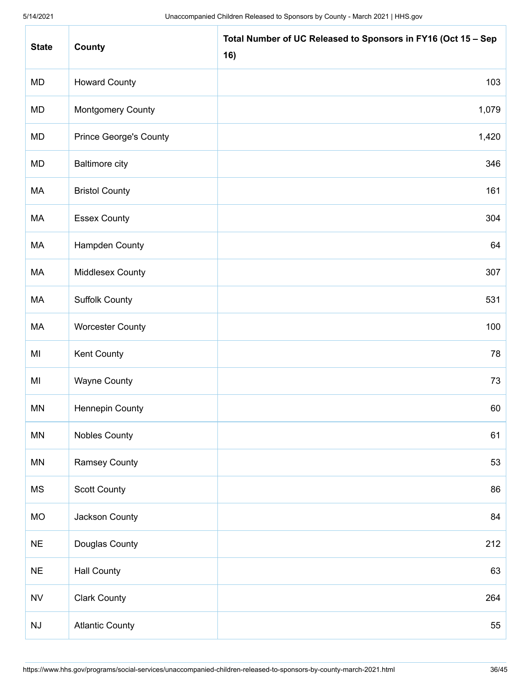| <b>State</b>           | County                        | Total Number of UC Released to Sponsors in FY16 (Oct 15 - Sep<br>16) |
|------------------------|-------------------------------|----------------------------------------------------------------------|
| <b>MD</b>              | <b>Howard County</b>          | 103                                                                  |
| MD                     | <b>Montgomery County</b>      | 1,079                                                                |
| MD                     | <b>Prince George's County</b> | 1,420                                                                |
| MD                     | <b>Baltimore city</b>         | 346                                                                  |
| МA                     | <b>Bristol County</b>         | 161                                                                  |
| MA                     | <b>Essex County</b>           | 304                                                                  |
| МA                     | Hampden County                | 64                                                                   |
| MA                     | Middlesex County              | 307                                                                  |
| МA                     | <b>Suffolk County</b>         | 531                                                                  |
| МA                     | <b>Worcester County</b>       | 100                                                                  |
| MI                     | <b>Kent County</b>            | 78                                                                   |
| MI                     | <b>Wayne County</b>           | 73                                                                   |
| <b>MN</b>              | <b>Hennepin County</b>        | 60                                                                   |
| <b>MN</b>              | <b>Nobles County</b>          | 61                                                                   |
| <b>MN</b>              | <b>Ramsey County</b>          | 53                                                                   |
| <b>MS</b>              | Scott County                  | 86                                                                   |
| <b>MO</b>              | Jackson County                | 84                                                                   |
| <b>NE</b>              | Douglas County                | 212                                                                  |
| $NE$                   | <b>Hall County</b>            | 63                                                                   |
| ${\sf NV}$             | <b>Clark County</b>           | 264                                                                  |
| $\mathsf{N}\mathsf{J}$ | <b>Atlantic County</b>        | 55                                                                   |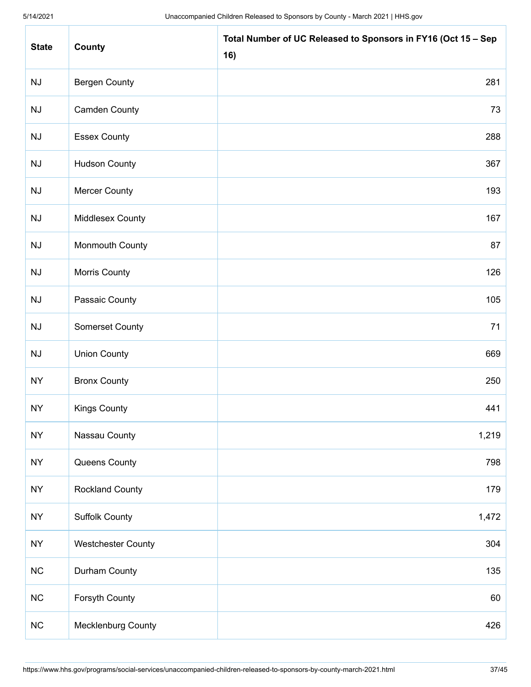| <b>State</b> | County                    | Total Number of UC Released to Sponsors in FY16 (Oct 15 - Sep<br>16) |
|--------------|---------------------------|----------------------------------------------------------------------|
| NJ           | <b>Bergen County</b>      | 281                                                                  |
| NJ           | <b>Camden County</b>      | 73                                                                   |
| NJ           | <b>Essex County</b>       | 288                                                                  |
| NJ           | <b>Hudson County</b>      | 367                                                                  |
| NJ           | <b>Mercer County</b>      | 193                                                                  |
| NJ           | <b>Middlesex County</b>   | 167                                                                  |
| NJ           | Monmouth County           | 87                                                                   |
| NJ           | Morris County             | 126                                                                  |
| NJ           | Passaic County            | 105                                                                  |
| NJ           | <b>Somerset County</b>    | 71                                                                   |
| NJ           | <b>Union County</b>       | 669                                                                  |
| <b>NY</b>    | <b>Bronx County</b>       | 250                                                                  |
| <b>NY</b>    | Kings County              | 441                                                                  |
| <b>NY</b>    | Nassau County             | 1,219                                                                |
| <b>NY</b>    | Queens County             | 798                                                                  |
| <b>NY</b>    | <b>Rockland County</b>    | 179                                                                  |
| <b>NY</b>    | <b>Suffolk County</b>     | 1,472                                                                |
| <b>NY</b>    | <b>Westchester County</b> | 304                                                                  |
| NC           | Durham County             | 135                                                                  |
| NC           | Forsyth County            | 60                                                                   |
| $NC$         | Mecklenburg County        | 426                                                                  |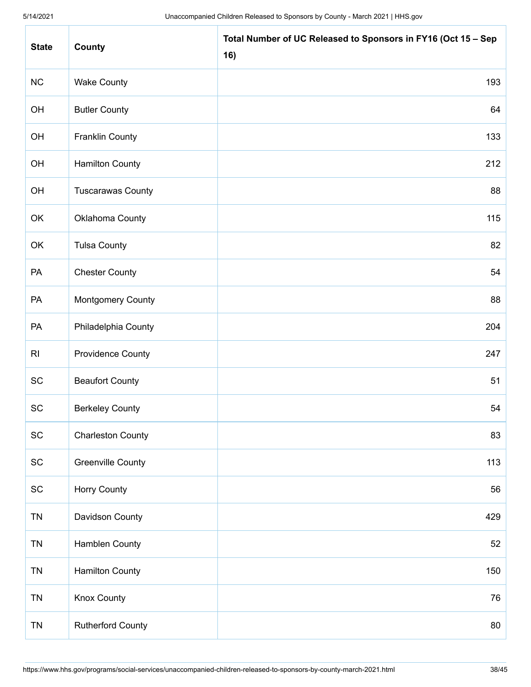| <b>State</b>                 | County                   | Total Number of UC Released to Sponsors in FY16 (Oct 15 - Sep<br>16) |
|------------------------------|--------------------------|----------------------------------------------------------------------|
| NC                           | <b>Wake County</b>       | 193                                                                  |
| OH                           | <b>Butler County</b>     | 64                                                                   |
| OH                           | <b>Franklin County</b>   | 133                                                                  |
| OH                           | <b>Hamilton County</b>   | 212                                                                  |
| OH                           | <b>Tuscarawas County</b> | 88                                                                   |
| OK                           | Oklahoma County          | 115                                                                  |
| OK                           | <b>Tulsa County</b>      | 82                                                                   |
| PA                           | <b>Chester County</b>    | 54                                                                   |
| PA                           | <b>Montgomery County</b> | 88                                                                   |
| PA                           | Philadelphia County      | 204                                                                  |
| R <sub>l</sub>               | <b>Providence County</b> | 247                                                                  |
| SC                           | <b>Beaufort County</b>   | 51                                                                   |
| SC                           | <b>Berkeley County</b>   | 54                                                                   |
| $\operatorname{\textsf{SC}}$ | <b>Charleston County</b> | 83                                                                   |
| SC                           | <b>Greenville County</b> | 113                                                                  |
| SC                           | <b>Horry County</b>      | 56                                                                   |
| <b>TN</b>                    | Davidson County          | 429                                                                  |
| <b>TN</b>                    | Hamblen County           | 52                                                                   |
| <b>TN</b>                    | <b>Hamilton County</b>   | 150                                                                  |
| <b>TN</b>                    | <b>Knox County</b>       | 76                                                                   |
| <b>TN</b>                    | <b>Rutherford County</b> | 80                                                                   |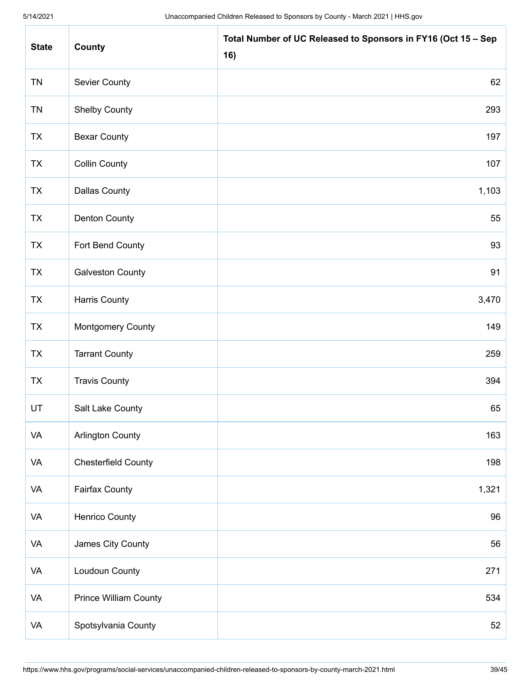| <b>State</b> | County                       | Total Number of UC Released to Sponsors in FY16 (Oct 15 - Sep<br>16) |
|--------------|------------------------------|----------------------------------------------------------------------|
| <b>TN</b>    | <b>Sevier County</b>         | 62                                                                   |
| <b>TN</b>    | <b>Shelby County</b>         | 293                                                                  |
| <b>TX</b>    | <b>Bexar County</b>          | 197                                                                  |
| <b>TX</b>    | <b>Collin County</b>         | 107                                                                  |
| <b>TX</b>    | <b>Dallas County</b>         | 1,103                                                                |
| <b>TX</b>    | <b>Denton County</b>         | 55                                                                   |
| <b>TX</b>    | Fort Bend County             | 93                                                                   |
| <b>TX</b>    | <b>Galveston County</b>      | 91                                                                   |
| <b>TX</b>    | <b>Harris County</b>         | 3,470                                                                |
| <b>TX</b>    | <b>Montgomery County</b>     | 149                                                                  |
| <b>TX</b>    | <b>Tarrant County</b>        | 259                                                                  |
| <b>TX</b>    | <b>Travis County</b>         | 394                                                                  |
| UT           | Salt Lake County             | 65                                                                   |
| VA           | <b>Arlington County</b>      | 163                                                                  |
| VA           | <b>Chesterfield County</b>   | 198                                                                  |
| VA           | <b>Fairfax County</b>        | 1,321                                                                |
| VA           | Henrico County               | 96                                                                   |
| VA           | James City County            | 56                                                                   |
| VA           | Loudoun County               | 271                                                                  |
| VA           | <b>Prince William County</b> | 534                                                                  |
| VA           | Spotsylvania County          | 52                                                                   |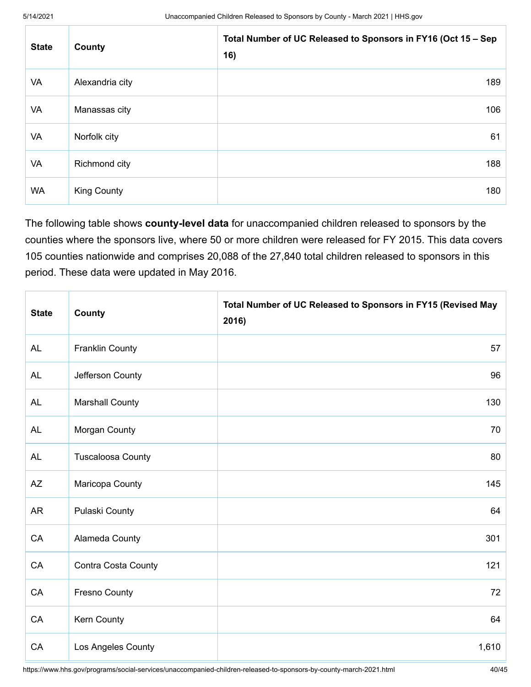| <b>State</b> | County             | Total Number of UC Released to Sponsors in FY16 (Oct 15 - Sep<br>16) |
|--------------|--------------------|----------------------------------------------------------------------|
| VA           | Alexandria city    | 189                                                                  |
| VA           | Manassas city      | 106                                                                  |
| VA           | Norfolk city       | 61                                                                   |
| VA           | Richmond city      | 188                                                                  |
| <b>WA</b>    | <b>King County</b> | 180                                                                  |

The following table shows **county-level data** for unaccompanied children released to sponsors by the counties where the sponsors live, where 50 or more children were released for FY 2015. This data covers 105 counties nationwide and comprises 20,088 of the 27,840 total children released to sponsors in this period. These data were updated in May 2016.

| <b>State</b>           | County                   | Total Number of UC Released to Sponsors in FY15 (Revised May<br>2016) |
|------------------------|--------------------------|-----------------------------------------------------------------------|
| <b>AL</b>              | <b>Franklin County</b>   | 57                                                                    |
| <b>AL</b>              | Jefferson County         | 96                                                                    |
| <b>AL</b>              | <b>Marshall County</b>   | 130                                                                   |
| <b>AL</b>              | Morgan County            | 70                                                                    |
| <b>AL</b>              | <b>Tuscaloosa County</b> | 80                                                                    |
| $\mathsf{A}\mathsf{Z}$ | Maricopa County          | 145                                                                   |
| <b>AR</b>              | Pulaski County           | 64                                                                    |
| CA                     | Alameda County           | 301                                                                   |
| CA                     | Contra Costa County      | 121                                                                   |
| CA                     | <b>Fresno County</b>     | 72                                                                    |
| CA                     | Kern County              | 64                                                                    |
| CA                     | Los Angeles County       | 1,610                                                                 |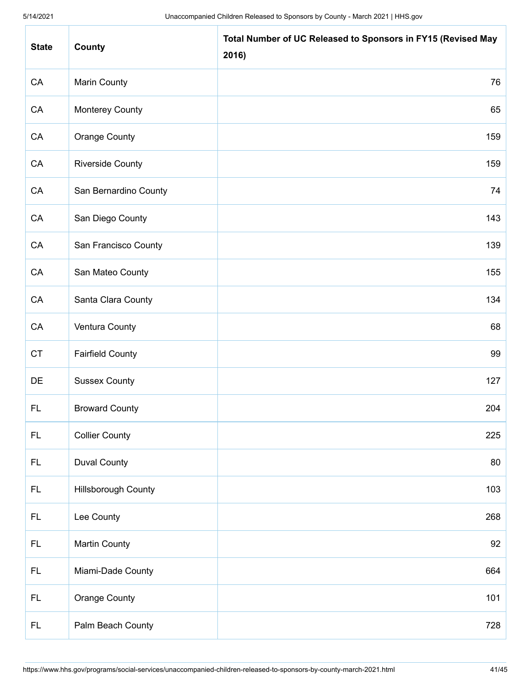| <b>State</b> | County                     | Total Number of UC Released to Sponsors in FY15 (Revised May<br>2016) |
|--------------|----------------------------|-----------------------------------------------------------------------|
| ${\sf CA}$   | <b>Marin County</b>        | 76                                                                    |
| CA           | <b>Monterey County</b>     | 65                                                                    |
| CA           | <b>Orange County</b>       | 159                                                                   |
| CA           | <b>Riverside County</b>    | 159                                                                   |
| CA           | San Bernardino County      | 74                                                                    |
| ${\sf CA}$   | San Diego County           | 143                                                                   |
| CA           | San Francisco County       | 139                                                                   |
| CA           | San Mateo County           | 155                                                                   |
| CA           | Santa Clara County         | 134                                                                   |
| CA           | Ventura County             | 68                                                                    |
| CT           | <b>Fairfield County</b>    | 99                                                                    |
| DE           | <b>Sussex County</b>       | 127                                                                   |
| <b>FL</b>    | <b>Broward County</b>      | 204                                                                   |
| <b>FL</b>    | <b>Collier County</b>      | 225                                                                   |
| <b>FL</b>    | <b>Duval County</b>        | 80                                                                    |
| FL.          | <b>Hillsborough County</b> | 103                                                                   |
| <b>FL</b>    | Lee County                 | 268                                                                   |
| FL.          | <b>Martin County</b>       | 92                                                                    |
| FL.          | Miami-Dade County          | 664                                                                   |
| FL.          | <b>Orange County</b>       | 101                                                                   |
| <b>FL</b>    | Palm Beach County          | 728                                                                   |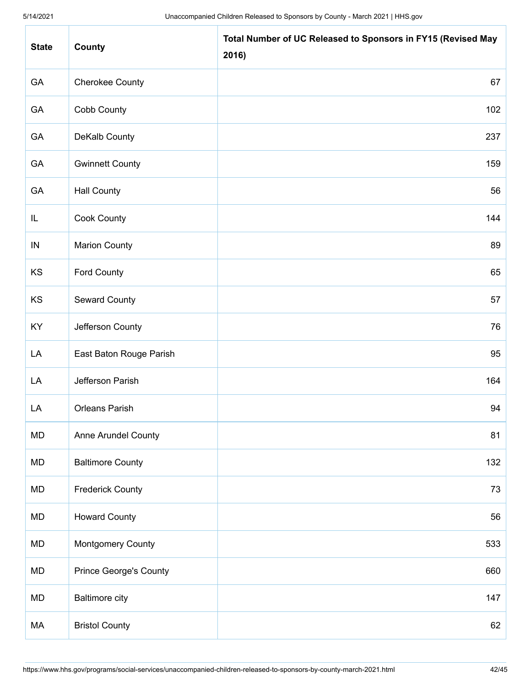| <b>State</b> | County                        | Total Number of UC Released to Sponsors in FY15 (Revised May<br>2016) |
|--------------|-------------------------------|-----------------------------------------------------------------------|
| GA           | <b>Cherokee County</b>        | 67                                                                    |
| GA           | Cobb County                   | 102                                                                   |
| GA           | DeKalb County                 | 237                                                                   |
| GA           | <b>Gwinnett County</b>        | 159                                                                   |
| GA           | <b>Hall County</b>            | 56                                                                    |
| IL           | Cook County                   | 144                                                                   |
| IN           | <b>Marion County</b>          | 89                                                                    |
| KS           | <b>Ford County</b>            | 65                                                                    |
| KS           | <b>Seward County</b>          | 57                                                                    |
| KY           | Jefferson County              | 76                                                                    |
| LA           | East Baton Rouge Parish       | 95                                                                    |
| LA           | Jefferson Parish              | 164                                                                   |
| LA           | <b>Orleans Parish</b>         | 94                                                                    |
| MD           | Anne Arundel County           | 81                                                                    |
| <b>MD</b>    | <b>Baltimore County</b>       | 132                                                                   |
| MD           | <b>Frederick County</b>       | 73                                                                    |
| MD           | <b>Howard County</b>          | 56                                                                    |
| MD           | <b>Montgomery County</b>      | 533                                                                   |
| MD           | <b>Prince George's County</b> | 660                                                                   |
| MD           | <b>Baltimore city</b>         | 147                                                                   |
| МA           | <b>Bristol County</b>         | 62                                                                    |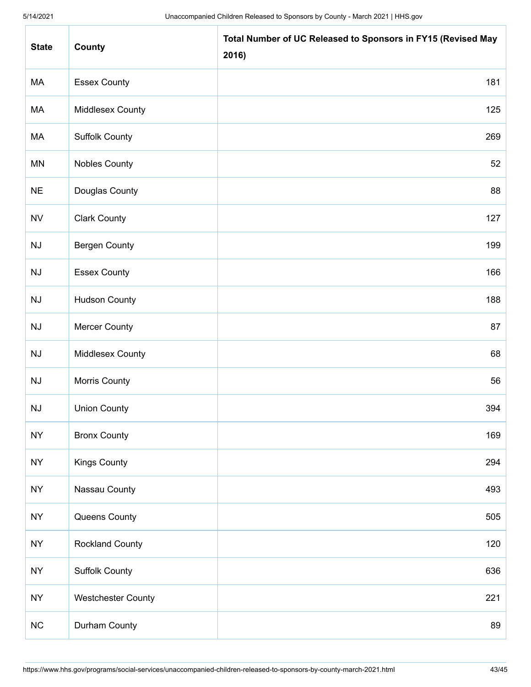| <b>State</b>           | County                    | Total Number of UC Released to Sponsors in FY15 (Revised May<br>2016) |
|------------------------|---------------------------|-----------------------------------------------------------------------|
| МA                     | <b>Essex County</b>       | 181                                                                   |
| МA                     | Middlesex County          | 125                                                                   |
| МA                     | <b>Suffolk County</b>     | 269                                                                   |
| <b>MN</b>              | <b>Nobles County</b>      | 52                                                                    |
| <b>NE</b>              | Douglas County            | 88                                                                    |
| <b>NV</b>              | <b>Clark County</b>       | 127                                                                   |
| NJ                     | <b>Bergen County</b>      | 199                                                                   |
| NJ                     | <b>Essex County</b>       | 166                                                                   |
| NJ                     | <b>Hudson County</b>      | 188                                                                   |
| NJ                     | <b>Mercer County</b>      | 87                                                                    |
| $\mathsf{N}\mathsf{J}$ | Middlesex County          | 68                                                                    |
| NJ                     | Morris County             | 56                                                                    |
| NJ                     | <b>Union County</b>       | 394                                                                   |
| <b>NY</b>              | <b>Bronx County</b>       | 169                                                                   |
| <b>NY</b>              | <b>Kings County</b>       | 294                                                                   |
| <b>NY</b>              | Nassau County             | 493                                                                   |
| <b>NY</b>              | Queens County             | 505                                                                   |
| <b>NY</b>              | <b>Rockland County</b>    | 120                                                                   |
| <b>NY</b>              | <b>Suffolk County</b>     | 636                                                                   |
| <b>NY</b>              | <b>Westchester County</b> | 221                                                                   |
| $NC$                   | Durham County             | 89                                                                    |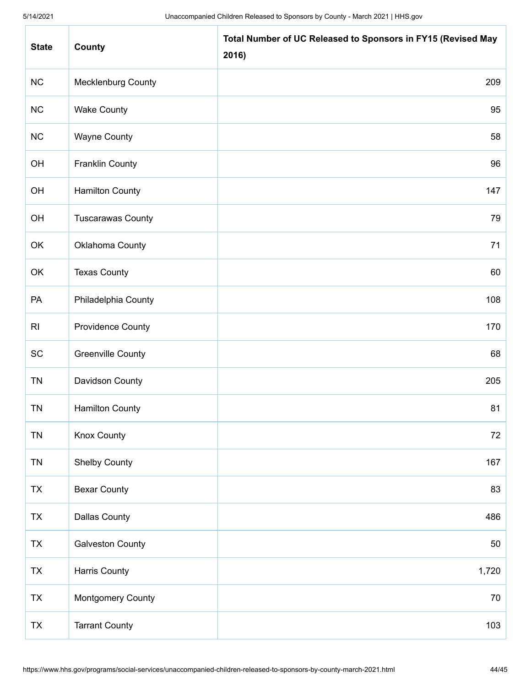| <b>State</b>   | County                    | Total Number of UC Released to Sponsors in FY15 (Revised May<br>2016) |
|----------------|---------------------------|-----------------------------------------------------------------------|
| NC             | <b>Mecklenburg County</b> | 209                                                                   |
| NC             | <b>Wake County</b>        | 95                                                                    |
| NC             | <b>Wayne County</b>       | 58                                                                    |
| OH             | <b>Franklin County</b>    | 96                                                                    |
| OH             | <b>Hamilton County</b>    | 147                                                                   |
| OH             | <b>Tuscarawas County</b>  | 79                                                                    |
| OK             | Oklahoma County           | 71                                                                    |
| OK             | <b>Texas County</b>       | 60                                                                    |
| PA             | Philadelphia County       | 108                                                                   |
| R <sub>l</sub> | <b>Providence County</b>  | 170                                                                   |
| SC             | <b>Greenville County</b>  | 68                                                                    |
| <b>TN</b>      | Davidson County           | 205                                                                   |
| <b>TN</b>      | <b>Hamilton County</b>    | 81                                                                    |
| <b>TN</b>      | <b>Knox County</b>        | 72                                                                    |
| <b>TN</b>      | <b>Shelby County</b>      | 167                                                                   |
| TX             | <b>Bexar County</b>       | 83                                                                    |
| <b>TX</b>      | <b>Dallas County</b>      | 486                                                                   |
| TX             | <b>Galveston County</b>   | 50                                                                    |
| TX             | <b>Harris County</b>      | 1,720                                                                 |
| TX             | <b>Montgomery County</b>  | 70                                                                    |
| TX             | <b>Tarrant County</b>     | 103                                                                   |